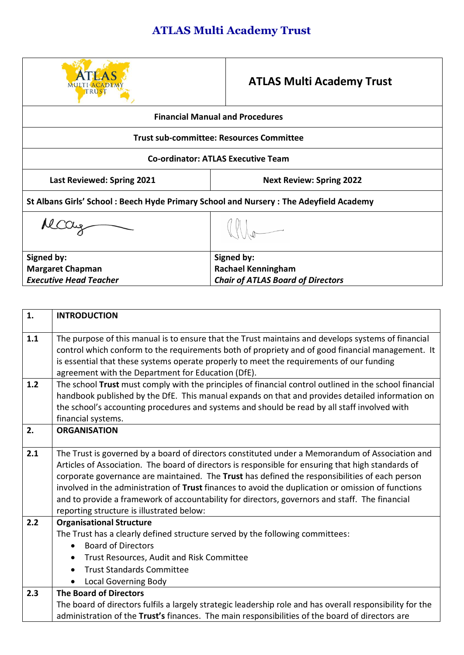| <b>MULTI-ACADEMY</b><br>TRUST                                                           | <b>ATLAS Multi Academy Trust</b>                |
|-----------------------------------------------------------------------------------------|-------------------------------------------------|
|                                                                                         | <b>Financial Manual and Procedures</b>          |
|                                                                                         | <b>Trust sub-committee: Resources Committee</b> |
|                                                                                         | <b>Co-ordinator: ATLAS Executive Team</b>       |
| <b>Last Reviewed: Spring 2021</b>                                                       | <b>Next Review: Spring 2022</b>                 |
| St Albans Girls' School : Beech Hyde Primary School and Nursery : The Adeyfield Academy |                                                 |
|                                                                                         |                                                 |
| Signed by:                                                                              | Signed by:                                      |
| <b>Margaret Chapman</b>                                                                 | <b>Rachael Kenningham</b>                       |
| <b>Executive Head Teacher</b>                                                           | <b>Chair of ATLAS Board of Directors</b>        |

*Chair of ATLAS Board of Directors*

| 1.  | <b>INTRODUCTION</b>                                                                                       |
|-----|-----------------------------------------------------------------------------------------------------------|
|     |                                                                                                           |
| 1.1 | The purpose of this manual is to ensure that the Trust maintains and develops systems of financial        |
|     | control which conform to the requirements both of propriety and of good financial management. It          |
|     | is essential that these systems operate properly to meet the requirements of our funding                  |
|     | agreement with the Department for Education (DfE).                                                        |
| 1.2 | The school Trust must comply with the principles of financial control outlined in the school financial    |
|     | handbook published by the DfE. This manual expands on that and provides detailed information on           |
|     | the school's accounting procedures and systems and should be read by all staff involved with              |
|     | financial systems.                                                                                        |
| 2.  | <b>ORGANISATION</b>                                                                                       |
|     |                                                                                                           |
| 2.1 | The Trust is governed by a board of directors constituted under a Memorandum of Association and           |
|     | Articles of Association. The board of directors is responsible for ensuring that high standards of        |
|     | corporate governance are maintained. The Trust has defined the responsibilities of each person            |
|     | involved in the administration of Trust finances to avoid the duplication or omission of functions        |
|     | and to provide a framework of accountability for directors, governors and staff. The financial            |
|     | reporting structure is illustrated below:                                                                 |
| 2.2 | <b>Organisational Structure</b>                                                                           |
|     | The Trust has a clearly defined structure served by the following committees:                             |
|     | <b>Board of Directors</b><br>$\bullet$                                                                    |
|     | Trust Resources, Audit and Risk Committee<br>$\bullet$                                                    |
|     | <b>Trust Standards Committee</b>                                                                          |
|     | <b>Local Governing Body</b>                                                                               |
| 2.3 | <b>The Board of Directors</b>                                                                             |
|     | The board of directors fulfils a largely strategic leadership role and has overall responsibility for the |
|     | administration of the Trust's finances. The main responsibilities of the board of directors are           |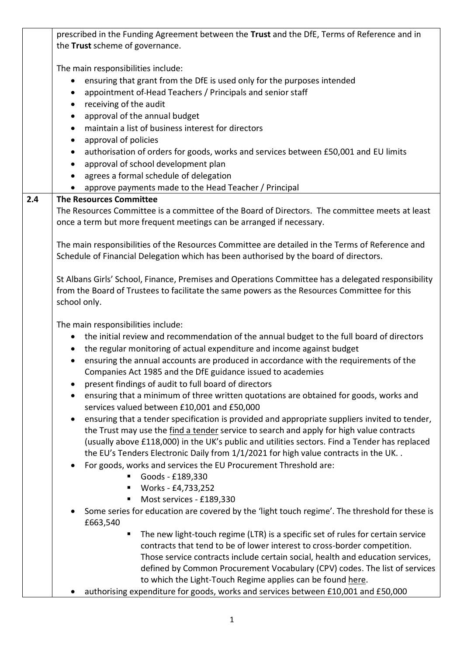|     | prescribed in the Funding Agreement between the Trust and the DfE, Terms of Reference and in       |
|-----|----------------------------------------------------------------------------------------------------|
|     | the Trust scheme of governance.                                                                    |
|     |                                                                                                    |
|     | The main responsibilities include:                                                                 |
|     | ensuring that grant from the DfE is used only for the purposes intended                            |
|     | appointment of-Head Teachers / Principals and senior staff<br>$\bullet$                            |
|     | receiving of the audit<br>$\bullet$                                                                |
|     | approval of the annual budget<br>$\bullet$                                                         |
|     | maintain a list of business interest for directors<br>٠                                            |
|     | approval of policies<br>$\bullet$                                                                  |
|     | authorisation of orders for goods, works and services between £50,001 and EU limits<br>$\bullet$   |
|     | approval of school development plan                                                                |
|     | agrees a formal schedule of delegation<br>$\bullet$                                                |
|     | approve payments made to the Head Teacher / Principal                                              |
| 2.4 | <b>The Resources Committee</b>                                                                     |
|     | The Resources Committee is a committee of the Board of Directors. The committee meets at least     |
|     | once a term but more frequent meetings can be arranged if necessary.                               |
|     |                                                                                                    |
|     | The main responsibilities of the Resources Committee are detailed in the Terms of Reference and    |
|     | Schedule of Financial Delegation which has been authorised by the board of directors.              |
|     |                                                                                                    |
|     | St Albans Girls' School, Finance, Premises and Operations Committee has a delegated responsibility |
|     | from the Board of Trustees to facilitate the same powers as the Resources Committee for this       |
|     | school only.                                                                                       |
|     |                                                                                                    |
|     | The main responsibilities include:                                                                 |
|     | the initial review and recommendation of the annual budget to the full board of directors<br>٠     |
|     | the regular monitoring of actual expenditure and income against budget<br>$\bullet$                |
|     | ensuring the annual accounts are produced in accordance with the requirements of the               |
|     | Companies Act 1985 and the DfE guidance issued to academies                                        |
|     | present findings of audit to full board of directors                                               |
|     | ensuring that a minimum of three written quotations are obtained for goods, works and              |
|     | services valued between £10,001 and £50,000                                                        |
|     | ensuring that a tender specification is provided and appropriate suppliers invited to tender,      |
|     | the Trust may use the find a tender service to search and apply for high value contracts           |
|     | (usually above £118,000) in the UK's public and utilities sectors. Find a Tender has replaced      |
|     | the EU's Tenders Electronic Daily from 1/1/2021 for high value contracts in the UK                 |
|     | For goods, works and services the EU Procurement Threshold are:                                    |
|     | Goods - £189,330                                                                                   |
|     | Works - £4,733,252                                                                                 |
|     | Most services - £189,330<br>п                                                                      |
|     | Some series for education are covered by the 'light touch regime'. The threshold for these is      |
|     | £663,540                                                                                           |
|     | The new light-touch regime (LTR) is a specific set of rules for certain service<br>п               |
|     | contracts that tend to be of lower interest to cross-border competition.                           |
|     | Those service contracts include certain social, health and education services,                     |
|     | defined by Common Procurement Vocabulary (CPV) codes. The list of services                         |
|     | to which the Light-Touch Regime applies can be found here.                                         |
|     | authorising expenditure for goods, works and services between £10,001 and £50,000                  |
|     |                                                                                                    |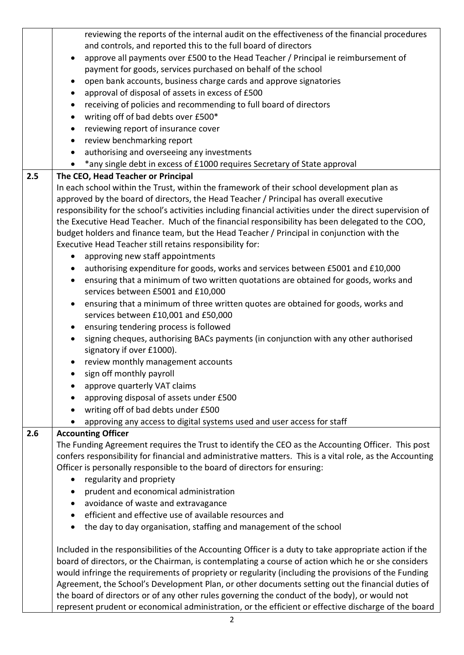|     | reviewing the reports of the internal audit on the effectiveness of the financial procedures              |
|-----|-----------------------------------------------------------------------------------------------------------|
|     | and controls, and reported this to the full board of directors                                            |
|     | approve all payments over £500 to the Head Teacher / Principal ie reimbursement of                        |
|     | payment for goods, services purchased on behalf of the school                                             |
|     | open bank accounts, business charge cards and approve signatories                                         |
|     | approval of disposal of assets in excess of £500<br>$\bullet$                                             |
|     | receiving of policies and recommending to full board of directors<br>$\bullet$                            |
|     | writing off of bad debts over £500*<br>$\bullet$                                                          |
|     | reviewing report of insurance cover<br>$\bullet$                                                          |
|     | review benchmarking report<br>$\bullet$                                                                   |
|     | authorising and overseeing any investments                                                                |
|     | *any single debt in excess of £1000 requires Secretary of State approval                                  |
| 2.5 | The CEO, Head Teacher or Principal                                                                        |
|     | In each school within the Trust, within the framework of their school development plan as                 |
|     | approved by the board of directors, the Head Teacher / Principal has overall executive                    |
|     | responsibility for the school's activities including financial activities under the direct supervision of |
|     | the Executive Head Teacher. Much of the financial responsibility has been delegated to the COO,           |
|     | budget holders and finance team, but the Head Teacher / Principal in conjunction with the                 |
|     | Executive Head Teacher still retains responsibility for:                                                  |
|     | approving new staff appointments<br>$\bullet$                                                             |
|     | authorising expenditure for goods, works and services between £5001 and £10,000                           |
|     | ensuring that a minimum of two written quotations are obtained for goods, works and<br>$\bullet$          |
|     | services between £5001 and £10,000                                                                        |
|     | ensuring that a minimum of three written quotes are obtained for goods, works and<br>$\bullet$            |
|     | services between £10,001 and £50,000                                                                      |
|     | ensuring tendering process is followed<br>$\bullet$                                                       |
|     | signing cheques, authorising BACs payments (in conjunction with any other authorised<br>$\bullet$         |
|     | signatory if over £1000).                                                                                 |
|     | review monthly management accounts                                                                        |
|     | sign off monthly payroll<br>$\bullet$                                                                     |
|     | approve quarterly VAT claims                                                                              |
|     | approving disposal of assets under £500                                                                   |
|     | writing off of bad debts under £500                                                                       |
|     | approving any access to digital systems used and user access for staff                                    |
| 2.6 | <b>Accounting Officer</b>                                                                                 |
|     | The Funding Agreement requires the Trust to identify the CEO as the Accounting Officer. This post         |
|     | confers responsibility for financial and administrative matters. This is a vital role, as the Accounting  |
|     | Officer is personally responsible to the board of directors for ensuring:                                 |
|     | regularity and propriety                                                                                  |
|     | prudent and economical administration                                                                     |
|     | avoidance of waste and extravagance<br>$\bullet$                                                          |
|     | efficient and effective use of available resources and                                                    |
|     | the day to day organisation, staffing and management of the school                                        |
|     | Included in the responsibilities of the Accounting Officer is a duty to take appropriate action if the    |
|     | board of directors, or the Chairman, is contemplating a course of action which he or she considers        |
|     | would infringe the requirements of propriety or regularity (including the provisions of the Funding       |
|     | Agreement, the School's Development Plan, or other documents setting out the financial duties of          |
|     | the board of directors or of any other rules governing the conduct of the body), or would not             |
|     | represent prudent or economical administration, or the efficient or effective discharge of the board      |

2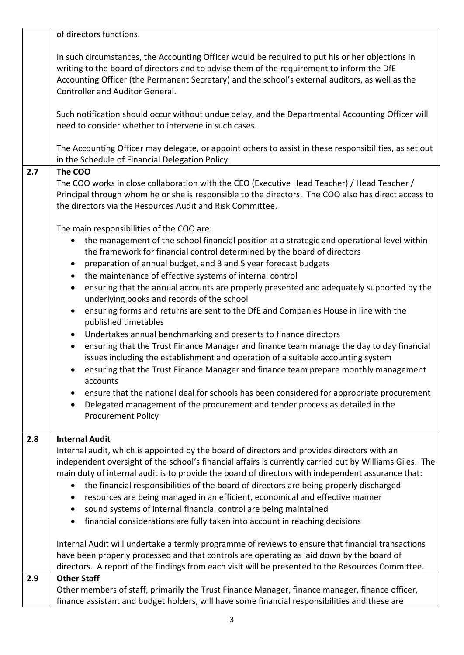|     | of directors functions.                                                                                                                                                                                                                                                                                                                                                                                                                                                                                                                                        |
|-----|----------------------------------------------------------------------------------------------------------------------------------------------------------------------------------------------------------------------------------------------------------------------------------------------------------------------------------------------------------------------------------------------------------------------------------------------------------------------------------------------------------------------------------------------------------------|
|     | In such circumstances, the Accounting Officer would be required to put his or her objections in<br>writing to the board of directors and to advise them of the requirement to inform the DfE<br>Accounting Officer (the Permanent Secretary) and the school's external auditors, as well as the<br><b>Controller and Auditor General.</b><br>Such notification should occur without undue delay, and the Departmental Accounting Officer will                                                                                                                  |
|     | need to consider whether to intervene in such cases.                                                                                                                                                                                                                                                                                                                                                                                                                                                                                                           |
|     | The Accounting Officer may delegate, or appoint others to assist in these responsibilities, as set out<br>in the Schedule of Financial Delegation Policy.                                                                                                                                                                                                                                                                                                                                                                                                      |
| 2.7 | The COO<br>The COO works in close collaboration with the CEO (Executive Head Teacher) / Head Teacher /<br>Principal through whom he or she is responsible to the directors. The COO also has direct access to<br>the directors via the Resources Audit and Risk Committee.<br>The main responsibilities of the COO are:<br>the management of the school financial position at a strategic and operational level within<br>$\bullet$                                                                                                                            |
|     | the framework for financial control determined by the board of directors<br>preparation of annual budget, and 3 and 5 year forecast budgets<br>the maintenance of effective systems of internal control<br>$\bullet$<br>ensuring that the annual accounts are properly presented and adequately supported by the<br>underlying books and records of the school<br>ensuring forms and returns are sent to the DfE and Companies House in line with the<br>published timetables<br>Undertakes annual benchmarking and presents to finance directors<br>$\bullet$ |
|     | ensuring that the Trust Finance Manager and finance team manage the day to day financial<br>$\bullet$<br>issues including the establishment and operation of a suitable accounting system<br>ensuring that the Trust Finance Manager and finance team prepare monthly management<br>$\bullet$<br>accounts<br>ensure that the national deal for schools has been considered for appropriate procurement<br>Delegated management of the procurement and tender process as detailed in the<br><b>Procurement Policy</b>                                           |
| 2.8 | <b>Internal Audit</b><br>Internal audit, which is appointed by the board of directors and provides directors with an                                                                                                                                                                                                                                                                                                                                                                                                                                           |
|     | independent oversight of the school's financial affairs is currently carried out by Williams Giles. The<br>main duty of internal audit is to provide the board of directors with independent assurance that:<br>the financial responsibilities of the board of directors are being properly discharged<br>resources are being managed in an efficient, economical and effective manner<br>sound systems of internal financial control are being maintained<br>financial considerations are fully taken into account in reaching decisions                      |
|     | Internal Audit will undertake a termly programme of reviews to ensure that financial transactions<br>have been properly processed and that controls are operating as laid down by the board of<br>directors. A report of the findings from each visit will be presented to the Resources Committee.                                                                                                                                                                                                                                                            |
| 2.9 | <b>Other Staff</b><br>Other members of staff, primarily the Trust Finance Manager, finance manager, finance officer,<br>finance assistant and budget holders, will have some financial responsibilities and these are                                                                                                                                                                                                                                                                                                                                          |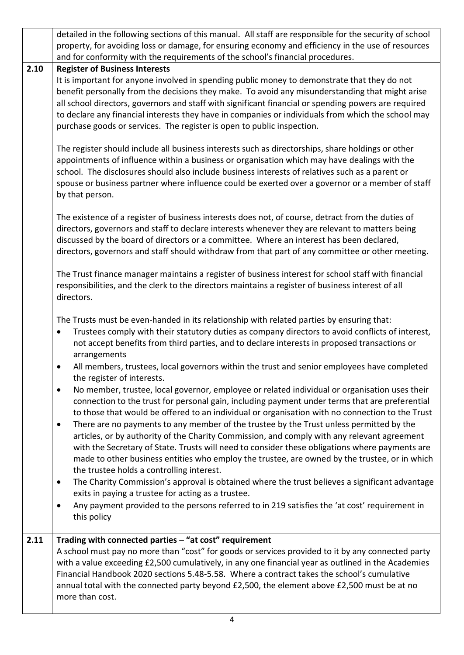|      | detailed in the following sections of this manual. All staff are responsible for the security of school                                                                                                                                                                                                                                                                                                                                                                                                                                                                                                                                                                                                                                                                |
|------|------------------------------------------------------------------------------------------------------------------------------------------------------------------------------------------------------------------------------------------------------------------------------------------------------------------------------------------------------------------------------------------------------------------------------------------------------------------------------------------------------------------------------------------------------------------------------------------------------------------------------------------------------------------------------------------------------------------------------------------------------------------------|
|      | property, for avoiding loss or damage, for ensuring economy and efficiency in the use of resources                                                                                                                                                                                                                                                                                                                                                                                                                                                                                                                                                                                                                                                                     |
|      | and for conformity with the requirements of the school's financial procedures.                                                                                                                                                                                                                                                                                                                                                                                                                                                                                                                                                                                                                                                                                         |
| 2.10 | <b>Register of Business Interests</b><br>It is important for anyone involved in spending public money to demonstrate that they do not<br>benefit personally from the decisions they make. To avoid any misunderstanding that might arise<br>all school directors, governors and staff with significant financial or spending powers are required<br>to declare any financial interests they have in companies or individuals from which the school may<br>purchase goods or services. The register is open to public inspection.                                                                                                                                                                                                                                       |
|      | The register should include all business interests such as directorships, share holdings or other<br>appointments of influence within a business or organisation which may have dealings with the<br>school. The disclosures should also include business interests of relatives such as a parent or<br>spouse or business partner where influence could be exerted over a governor or a member of staff<br>by that person.                                                                                                                                                                                                                                                                                                                                            |
|      | The existence of a register of business interests does not, of course, detract from the duties of<br>directors, governors and staff to declare interests whenever they are relevant to matters being<br>discussed by the board of directors or a committee. Where an interest has been declared,<br>directors, governors and staff should withdraw from that part of any committee or other meeting.                                                                                                                                                                                                                                                                                                                                                                   |
|      | The Trust finance manager maintains a register of business interest for school staff with financial<br>responsibilities, and the clerk to the directors maintains a register of business interest of all<br>directors.                                                                                                                                                                                                                                                                                                                                                                                                                                                                                                                                                 |
|      | The Trusts must be even-handed in its relationship with related parties by ensuring that:<br>Trustees comply with their statutory duties as company directors to avoid conflicts of interest,<br>not accept benefits from third parties, and to declare interests in proposed transactions or<br>arrangements                                                                                                                                                                                                                                                                                                                                                                                                                                                          |
|      | All members, trustees, local governors within the trust and senior employees have completed<br>the register of interests.                                                                                                                                                                                                                                                                                                                                                                                                                                                                                                                                                                                                                                              |
|      | No member, trustee, local governor, employee or related individual or organisation uses their<br>$\bullet$<br>connection to the trust for personal gain, including payment under terms that are preferential<br>to those that would be offered to an individual or organisation with no connection to the Trust<br>There are no payments to any member of the trustee by the Trust unless permitted by the<br>$\bullet$<br>articles, or by authority of the Charity Commission, and comply with any relevant agreement<br>with the Secretary of State. Trusts will need to consider these obligations where payments are<br>made to other business entities who employ the trustee, are owned by the trustee, or in which<br>the trustee holds a controlling interest. |
|      | The Charity Commission's approval is obtained where the trust believes a significant advantage<br>$\bullet$<br>exits in paying a trustee for acting as a trustee.<br>Any payment provided to the persons referred to in 219 satisfies the 'at cost' requirement in<br>this policy                                                                                                                                                                                                                                                                                                                                                                                                                                                                                      |
| 2.11 | Trading with connected parties - "at cost" requirement<br>A school must pay no more than "cost" for goods or services provided to it by any connected party<br>with a value exceeding £2,500 cumulatively, in any one financial year as outlined in the Academies<br>Financial Handbook 2020 sections 5.48-5.58. Where a contract takes the school's cumulative<br>annual total with the connected party beyond £2,500, the element above £2,500 must be at no<br>more than cost.                                                                                                                                                                                                                                                                                      |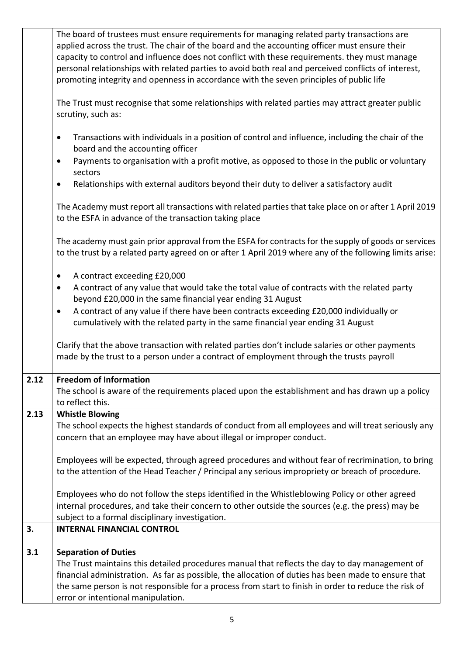|      | The board of trustees must ensure requirements for managing related party transactions are<br>applied across the trust. The chair of the board and the accounting officer must ensure their<br>capacity to control and influence does not conflict with these requirements. they must manage<br>personal relationships with related parties to avoid both real and perceived conflicts of interest,<br>promoting integrity and openness in accordance with the seven principles of public life |
|------|------------------------------------------------------------------------------------------------------------------------------------------------------------------------------------------------------------------------------------------------------------------------------------------------------------------------------------------------------------------------------------------------------------------------------------------------------------------------------------------------|
|      | The Trust must recognise that some relationships with related parties may attract greater public<br>scrutiny, such as:                                                                                                                                                                                                                                                                                                                                                                         |
|      | Transactions with individuals in a position of control and influence, including the chair of the<br>$\bullet$<br>board and the accounting officer                                                                                                                                                                                                                                                                                                                                              |
|      | Payments to organisation with a profit motive, as opposed to those in the public or voluntary<br>٠<br>sectors                                                                                                                                                                                                                                                                                                                                                                                  |
|      | Relationships with external auditors beyond their duty to deliver a satisfactory audit<br>$\bullet$                                                                                                                                                                                                                                                                                                                                                                                            |
|      | The Academy must report all transactions with related parties that take place on or after 1 April 2019<br>to the ESFA in advance of the transaction taking place                                                                                                                                                                                                                                                                                                                               |
|      | The academy must gain prior approval from the ESFA for contracts for the supply of goods or services<br>to the trust by a related party agreed on or after 1 April 2019 where any of the following limits arise:                                                                                                                                                                                                                                                                               |
|      | A contract exceeding £20,000<br>A contract of any value that would take the total value of contracts with the related party<br>$\bullet$<br>beyond £20,000 in the same financial year ending 31 August                                                                                                                                                                                                                                                                                         |
|      | A contract of any value if there have been contracts exceeding £20,000 individually or<br>$\bullet$<br>cumulatively with the related party in the same financial year ending 31 August                                                                                                                                                                                                                                                                                                         |
|      | Clarify that the above transaction with related parties don't include salaries or other payments<br>made by the trust to a person under a contract of employment through the trusts payroll                                                                                                                                                                                                                                                                                                    |
| 2.12 | Freedom of Information<br>The school is aware of the requirements placed upon the establishment and has drawn up a policy<br>to reflect this.                                                                                                                                                                                                                                                                                                                                                  |
| 2.13 | <b>Whistle Blowing</b>                                                                                                                                                                                                                                                                                                                                                                                                                                                                         |
|      | The school expects the highest standards of conduct from all employees and will treat seriously any<br>concern that an employee may have about illegal or improper conduct.                                                                                                                                                                                                                                                                                                                    |
|      | Employees will be expected, through agreed procedures and without fear of recrimination, to bring<br>to the attention of the Head Teacher / Principal any serious impropriety or breach of procedure.                                                                                                                                                                                                                                                                                          |
|      | Employees who do not follow the steps identified in the Whistleblowing Policy or other agreed                                                                                                                                                                                                                                                                                                                                                                                                  |
|      | internal procedures, and take their concern to other outside the sources (e.g. the press) may be<br>subject to a formal disciplinary investigation.                                                                                                                                                                                                                                                                                                                                            |
| 3.   | <b>INTERNAL FINANCIAL CONTROL</b>                                                                                                                                                                                                                                                                                                                                                                                                                                                              |
| 3.1  | <b>Separation of Duties</b>                                                                                                                                                                                                                                                                                                                                                                                                                                                                    |
|      | The Trust maintains this detailed procedures manual that reflects the day to day management of                                                                                                                                                                                                                                                                                                                                                                                                 |
|      | financial administration. As far as possible, the allocation of duties has been made to ensure that<br>the same person is not responsible for a process from start to finish in order to reduce the risk of                                                                                                                                                                                                                                                                                    |
|      | error or intentional manipulation.                                                                                                                                                                                                                                                                                                                                                                                                                                                             |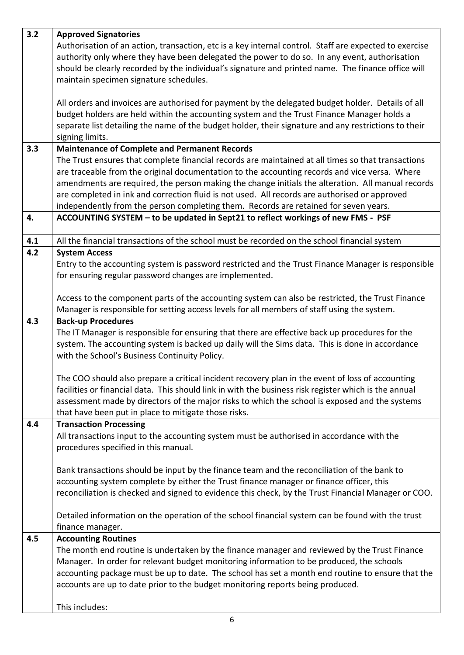| 3.2 | <b>Approved Signatories</b>                                                                                                |
|-----|----------------------------------------------------------------------------------------------------------------------------|
|     | Authorisation of an action, transaction, etc is a key internal control. Staff are expected to exercise                     |
|     | authority only where they have been delegated the power to do so. In any event, authorisation                              |
|     | should be clearly recorded by the individual's signature and printed name. The finance office will                         |
|     | maintain specimen signature schedules.                                                                                     |
|     |                                                                                                                            |
|     | All orders and invoices are authorised for payment by the delegated budget holder. Details of all                          |
|     | budget holders are held within the accounting system and the Trust Finance Manager holds a                                 |
|     | separate list detailing the name of the budget holder, their signature and any restrictions to their                       |
|     | signing limits.                                                                                                            |
| 3.3 | <b>Maintenance of Complete and Permanent Records</b>                                                                       |
|     | The Trust ensures that complete financial records are maintained at all times so that transactions                         |
|     | are traceable from the original documentation to the accounting records and vice versa. Where                              |
|     | amendments are required, the person making the change initials the alteration. All manual records                          |
|     | are completed in ink and correction fluid is not used. All records are authorised or approved                              |
|     | independently from the person completing them. Records are retained for seven years.                                       |
| 4.  | ACCOUNTING SYSTEM - to be updated in Sept21 to reflect workings of new FMS - PSF                                           |
|     |                                                                                                                            |
| 4.1 | All the financial transactions of the school must be recorded on the school financial system                               |
| 4.2 | <b>System Access</b>                                                                                                       |
|     | Entry to the accounting system is password restricted and the Trust Finance Manager is responsible                         |
|     | for ensuring regular password changes are implemented.                                                                     |
|     |                                                                                                                            |
|     | Access to the component parts of the accounting system can also be restricted, the Trust Finance                           |
|     | Manager is responsible for setting access levels for all members of staff using the system.                                |
| 4.3 | <b>Back-up Procedures</b>                                                                                                  |
|     | The IT Manager is responsible for ensuring that there are effective back up procedures for the                             |
|     | system. The accounting system is backed up daily will the Sims data. This is done in accordance                            |
|     | with the School's Business Continuity Policy.                                                                              |
|     |                                                                                                                            |
|     | The COO should also prepare a critical incident recovery plan in the event of loss of accounting                           |
|     | facilities or financial data. This should link in with the business risk register which is the annual                      |
|     | assessment made by directors of the major risks to which the school is exposed and the systems                             |
| 4.4 | that have been put in place to mitigate those risks.                                                                       |
|     | <b>Transaction Processing</b><br>All transactions input to the accounting system must be authorised in accordance with the |
|     | procedures specified in this manual.                                                                                       |
|     |                                                                                                                            |
|     | Bank transactions should be input by the finance team and the reconciliation of the bank to                                |
|     | accounting system complete by either the Trust finance manager or finance officer, this                                    |
|     | reconciliation is checked and signed to evidence this check, by the Trust Financial Manager or COO.                        |
|     |                                                                                                                            |
|     | Detailed information on the operation of the school financial system can be found with the trust                           |
|     | finance manager.                                                                                                           |
| 4.5 | <b>Accounting Routines</b>                                                                                                 |
|     | The month end routine is undertaken by the finance manager and reviewed by the Trust Finance                               |
|     | Manager. In order for relevant budget monitoring information to be produced, the schools                                   |
|     | accounting package must be up to date. The school has set a month end routine to ensure that the                           |
|     | accounts are up to date prior to the budget monitoring reports being produced.                                             |
|     |                                                                                                                            |
|     | This includes:                                                                                                             |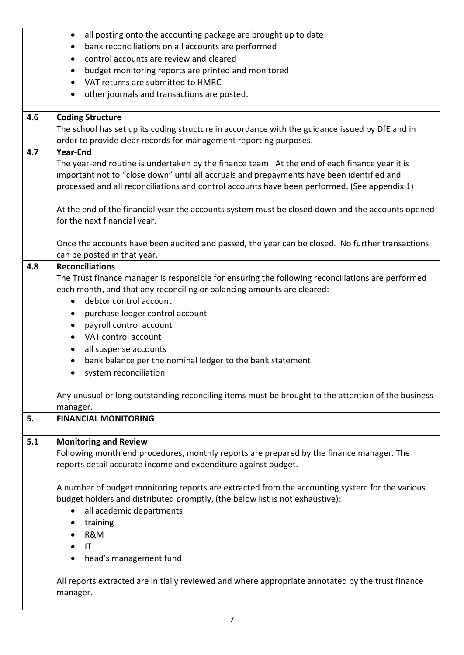|     | all posting onto the accounting package are brought up to date                                                                                                                             |
|-----|--------------------------------------------------------------------------------------------------------------------------------------------------------------------------------------------|
|     | bank reconciliations on all accounts are performed                                                                                                                                         |
|     | control accounts are review and cleared                                                                                                                                                    |
|     | budget monitoring reports are printed and monitored                                                                                                                                        |
|     | VAT returns are submitted to HMRC                                                                                                                                                          |
|     | other journals and transactions are posted.                                                                                                                                                |
|     |                                                                                                                                                                                            |
| 4.6 | <b>Coding Structure</b><br>The school has set up its coding structure in accordance with the guidance issued by DfE and in                                                                 |
|     | order to provide clear records for management reporting purposes.                                                                                                                          |
| 4.7 | <b>Year-End</b>                                                                                                                                                                            |
|     |                                                                                                                                                                                            |
|     | The year-end routine is undertaken by the finance team. At the end of each finance year it is<br>important not to "close down" until all accruals and prepayments have been identified and |
|     |                                                                                                                                                                                            |
|     | processed and all reconciliations and control accounts have been performed. (See appendix 1)                                                                                               |
|     | At the end of the financial year the accounts system must be closed down and the accounts opened                                                                                           |
|     | for the next financial year.                                                                                                                                                               |
|     |                                                                                                                                                                                            |
|     | Once the accounts have been audited and passed, the year can be closed. No further transactions                                                                                            |
|     | can be posted in that year.                                                                                                                                                                |
| 4.8 | <b>Reconciliations</b>                                                                                                                                                                     |
|     | The Trust finance manager is responsible for ensuring the following reconciliations are performed                                                                                          |
|     | each month, and that any reconciling or balancing amounts are cleared:                                                                                                                     |
|     | debtor control account<br>$\bullet$                                                                                                                                                        |
|     | purchase ledger control account                                                                                                                                                            |
|     | payroll control account<br>$\bullet$                                                                                                                                                       |
|     | VAT control account                                                                                                                                                                        |
|     | all suspense accounts                                                                                                                                                                      |
|     | bank balance per the nominal ledger to the bank statement                                                                                                                                  |
|     | system reconciliation                                                                                                                                                                      |
|     | Any unusual or long outstanding reconciling items must be brought to the attention of the business                                                                                         |
|     | manager.                                                                                                                                                                                   |
| 5.  | <b>FINANCIAL MONITORING</b>                                                                                                                                                                |
|     |                                                                                                                                                                                            |
| 5.1 | <b>Monitoring and Review</b>                                                                                                                                                               |
|     | Following month end procedures, monthly reports are prepared by the finance manager. The                                                                                                   |
|     | reports detail accurate income and expenditure against budget.                                                                                                                             |
|     | A number of budget monitoring reports are extracted from the accounting system for the various                                                                                             |
|     | budget holders and distributed promptly, (the below list is not exhaustive):                                                                                                               |
|     | all academic departments                                                                                                                                                                   |
|     | $\bullet$                                                                                                                                                                                  |
|     | training                                                                                                                                                                                   |
|     | R&M                                                                                                                                                                                        |
|     | $\mathsf{I}\mathsf{T}$                                                                                                                                                                     |
|     | head's management fund                                                                                                                                                                     |
|     | All reports extracted are initially reviewed and where appropriate annotated by the trust finance                                                                                          |
|     | manager.                                                                                                                                                                                   |
|     |                                                                                                                                                                                            |
|     | 7                                                                                                                                                                                          |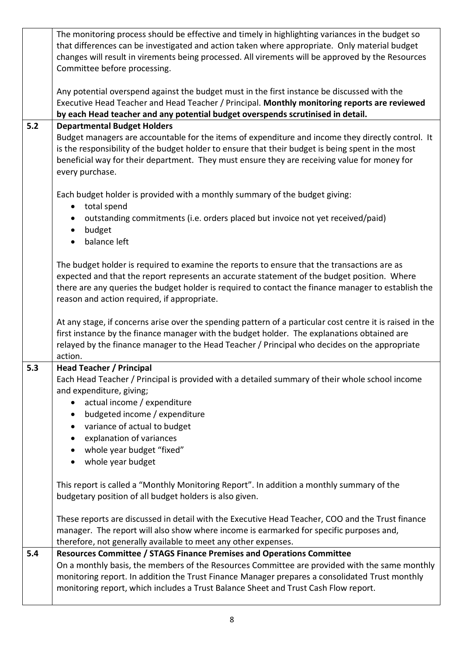| The monitoring process should be effective and timely in highlighting variances in the budget so<br>that differences can be investigated and action taken where appropriate. Only material budget<br>changes will result in virements being processed. All virements will be approved by the Resources<br>Committee before processing.                                                                       |
|--------------------------------------------------------------------------------------------------------------------------------------------------------------------------------------------------------------------------------------------------------------------------------------------------------------------------------------------------------------------------------------------------------------|
| Any potential overspend against the budget must in the first instance be discussed with the<br>Executive Head Teacher and Head Teacher / Principal. Monthly monitoring reports are reviewed<br>by each Head teacher and any potential budget overspends scrutinised in detail.                                                                                                                               |
| <b>Departmental Budget Holders</b>                                                                                                                                                                                                                                                                                                                                                                           |
| Budget managers are accountable for the items of expenditure and income they directly control. It<br>is the responsibility of the budget holder to ensure that their budget is being spent in the most<br>beneficial way for their department. They must ensure they are receiving value for money for<br>every purchase.                                                                                    |
| Each budget holder is provided with a monthly summary of the budget giving:<br>total spend<br>$\bullet$                                                                                                                                                                                                                                                                                                      |
| outstanding commitments (i.e. orders placed but invoice not yet received/paid)<br>$\bullet$<br>budget<br>$\bullet$                                                                                                                                                                                                                                                                                           |
| balance left<br>$\bullet$                                                                                                                                                                                                                                                                                                                                                                                    |
| The budget holder is required to examine the reports to ensure that the transactions are as<br>expected and that the report represents an accurate statement of the budget position. Where<br>there are any queries the budget holder is required to contact the finance manager to establish the<br>reason and action required, if appropriate.                                                             |
| At any stage, if concerns arise over the spending pattern of a particular cost centre it is raised in the<br>first instance by the finance manager with the budget holder. The explanations obtained are<br>relayed by the finance manager to the Head Teacher / Principal who decides on the appropriate<br>action.                                                                                         |
| <b>Head Teacher / Principal</b><br>Each Head Teacher / Principal is provided with a detailed summary of their whole school income<br>and expenditure, giving;<br>actual income / expenditure<br>$\bullet$<br>budgeted income / expenditure<br>$\bullet$<br>variance of actual to budget<br>$\bullet$<br>explanation of variances<br>$\bullet$<br>whole year budget "fixed"<br>whole year budget<br>$\bullet$ |
| This report is called a "Monthly Monitoring Report". In addition a monthly summary of the<br>budgetary position of all budget holders is also given.                                                                                                                                                                                                                                                         |
| These reports are discussed in detail with the Executive Head Teacher, COO and the Trust finance<br>manager. The report will also show where income is earmarked for specific purposes and,<br>therefore, not generally available to meet any other expenses.                                                                                                                                                |
| Resources Committee / STAGS Finance Premises and Operations Committee<br>On a monthly basis, the members of the Resources Committee are provided with the same monthly<br>monitoring report. In addition the Trust Finance Manager prepares a consolidated Trust monthly<br>monitoring report, which includes a Trust Balance Sheet and Trust Cash Flow report.                                              |
|                                                                                                                                                                                                                                                                                                                                                                                                              |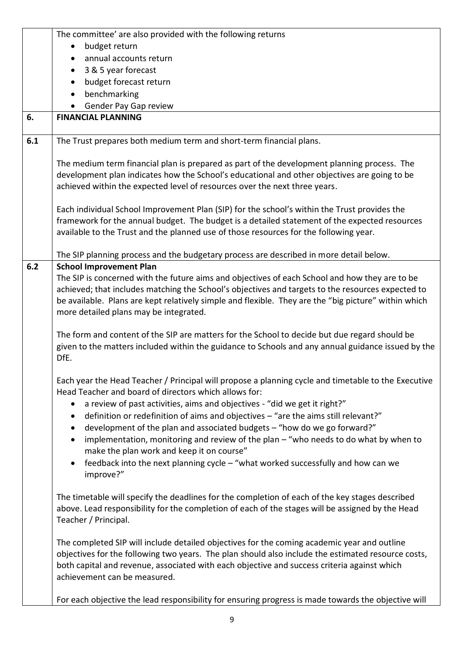|     | The committee' are also provided with the following returns                                                |
|-----|------------------------------------------------------------------------------------------------------------|
|     | budget return                                                                                              |
|     | annual accounts return                                                                                     |
|     | 3 & 5 year forecast                                                                                        |
|     | budget forecast return<br>$\bullet$                                                                        |
|     | benchmarking                                                                                               |
|     | Gender Pay Gap review                                                                                      |
| 6.  | <b>FINANCIAL PLANNING</b>                                                                                  |
|     |                                                                                                            |
| 6.1 | The Trust prepares both medium term and short-term financial plans.                                        |
|     |                                                                                                            |
|     | The medium term financial plan is prepared as part of the development planning process. The                |
|     | development plan indicates how the School's educational and other objectives are going to be               |
|     | achieved within the expected level of resources over the next three years.                                 |
|     | Each individual School Improvement Plan (SIP) for the school's within the Trust provides the               |
|     | framework for the annual budget. The budget is a detailed statement of the expected resources              |
|     | available to the Trust and the planned use of those resources for the following year.                      |
|     |                                                                                                            |
|     | The SIP planning process and the budgetary process are described in more detail below.                     |
| 6.2 | <b>School Improvement Plan</b>                                                                             |
|     | The SIP is concerned with the future aims and objectives of each School and how they are to be             |
|     | achieved; that includes matching the School's objectives and targets to the resources expected to          |
|     | be available. Plans are kept relatively simple and flexible. They are the "big picture" within which       |
|     | more detailed plans may be integrated.                                                                     |
|     |                                                                                                            |
|     | The form and content of the SIP are matters for the School to decide but due regard should be              |
|     | given to the matters included within the guidance to Schools and any annual guidance issued by the<br>DfE. |
|     |                                                                                                            |
|     | Each year the Head Teacher / Principal will propose a planning cycle and timetable to the Executive        |
|     | Head Teacher and board of directors which allows for:                                                      |
|     | a review of past activities, aims and objectives - "did we get it right?"                                  |
|     | definition or redefinition of aims and objectives - "are the aims still relevant?"                         |
|     | development of the plan and associated budgets - "how do we go forward?"<br>$\bullet$                      |
|     | implementation, monitoring and review of the plan $-$ "who needs to do what by when to                     |
|     | make the plan work and keep it on course"                                                                  |
|     | feedback into the next planning cycle - "what worked successfully and how can we<br>$\bullet$              |
|     | improve?"                                                                                                  |
|     |                                                                                                            |
|     | The timetable will specify the deadlines for the completion of each of the key stages described            |
|     | above. Lead responsibility for the completion of each of the stages will be assigned by the Head           |
|     | Teacher / Principal.                                                                                       |
|     |                                                                                                            |
|     | The completed SIP will include detailed objectives for the coming academic year and outline                |
|     | objectives for the following two years. The plan should also include the estimated resource costs,         |
|     | both capital and revenue, associated with each objective and success criteria against which                |
|     | achievement can be measured.                                                                               |
|     |                                                                                                            |
|     | For each objective the lead responsibility for ensuring progress is made towards the objective will        |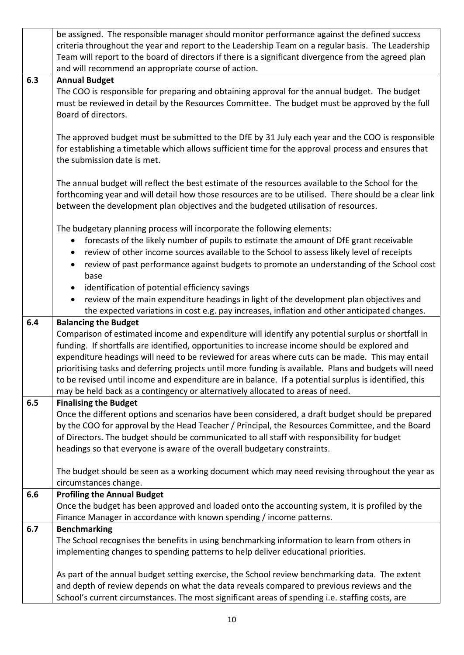|     | be assigned. The responsible manager should monitor performance against the defined success<br>criteria throughout the year and report to the Leadership Team on a regular basis. The Leadership  |
|-----|---------------------------------------------------------------------------------------------------------------------------------------------------------------------------------------------------|
|     | Team will report to the board of directors if there is a significant divergence from the agreed plan                                                                                              |
|     | and will recommend an appropriate course of action.                                                                                                                                               |
| 6.3 | <b>Annual Budget</b>                                                                                                                                                                              |
|     | The COO is responsible for preparing and obtaining approval for the annual budget. The budget                                                                                                     |
|     | must be reviewed in detail by the Resources Committee. The budget must be approved by the full<br>Board of directors.                                                                             |
|     |                                                                                                                                                                                                   |
|     | The approved budget must be submitted to the DfE by 31 July each year and the COO is responsible                                                                                                  |
|     | for establishing a timetable which allows sufficient time for the approval process and ensures that                                                                                               |
|     | the submission date is met.                                                                                                                                                                       |
|     |                                                                                                                                                                                                   |
|     | The annual budget will reflect the best estimate of the resources available to the School for the                                                                                                 |
|     | forthcoming year and will detail how those resources are to be utilised. There should be a clear link<br>between the development plan objectives and the budgeted utilisation of resources.       |
|     |                                                                                                                                                                                                   |
|     | The budgetary planning process will incorporate the following elements:                                                                                                                           |
|     | forecasts of the likely number of pupils to estimate the amount of DfE grant receivable                                                                                                           |
|     | review of other income sources available to the School to assess likely level of receipts<br>$\bullet$                                                                                            |
|     | review of past performance against budgets to promote an understanding of the School cost<br>$\bullet$                                                                                            |
|     | base                                                                                                                                                                                              |
|     | identification of potential efficiency savings<br>$\bullet$                                                                                                                                       |
|     | review of the main expenditure headings in light of the development plan objectives and<br>$\bullet$                                                                                              |
| 6.4 | the expected variations in cost e.g. pay increases, inflation and other anticipated changes.<br><b>Balancing the Budget</b>                                                                       |
|     |                                                                                                                                                                                                   |
|     |                                                                                                                                                                                                   |
|     | Comparison of estimated income and expenditure will identify any potential surplus or shortfall in                                                                                                |
|     | funding. If shortfalls are identified, opportunities to increase income should be explored and<br>expenditure headings will need to be reviewed for areas where cuts can be made. This may entail |
|     | prioritising tasks and deferring projects until more funding is available. Plans and budgets will need                                                                                            |
|     | to be revised until income and expenditure are in balance. If a potential surplus is identified, this                                                                                             |
|     | may be held back as a contingency or alternatively allocated to areas of need.                                                                                                                    |
| 6.5 | <b>Finalising the Budget</b>                                                                                                                                                                      |
|     | Once the different options and scenarios have been considered, a draft budget should be prepared                                                                                                  |
|     | by the COO for approval by the Head Teacher / Principal, the Resources Committee, and the Board                                                                                                   |
|     | of Directors. The budget should be communicated to all staff with responsibility for budget<br>headings so that everyone is aware of the overall budgetary constraints.                           |
|     |                                                                                                                                                                                                   |
|     | The budget should be seen as a working document which may need revising throughout the year as                                                                                                    |
|     | circumstances change.                                                                                                                                                                             |
| 6.6 | <b>Profiling the Annual Budget</b>                                                                                                                                                                |
|     | Once the budget has been approved and loaded onto the accounting system, it is profiled by the                                                                                                    |
| 6.7 | Finance Manager in accordance with known spending / income patterns.                                                                                                                              |
|     | <b>Benchmarking</b><br>The School recognises the benefits in using benchmarking information to learn from others in                                                                               |
|     | implementing changes to spending patterns to help deliver educational priorities.                                                                                                                 |
|     |                                                                                                                                                                                                   |
|     | As part of the annual budget setting exercise, the School review benchmarking data. The extent<br>and depth of review depends on what the data reveals compared to previous reviews and the       |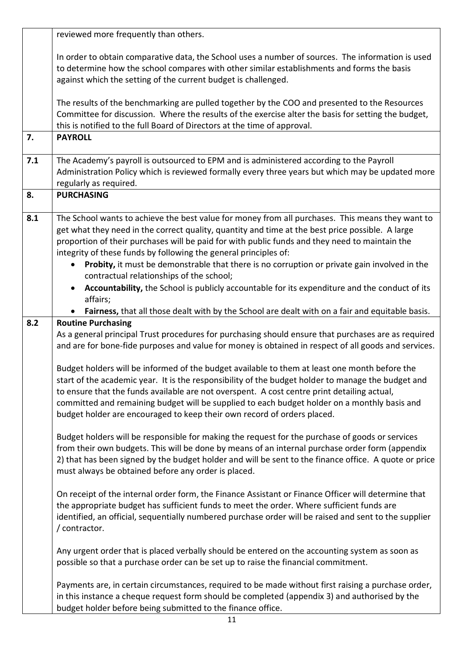|     | reviewed more frequently than others.                                                                                                                                                                                                                                                                                                                                                                                                                                                                                                                                                                                                             |
|-----|---------------------------------------------------------------------------------------------------------------------------------------------------------------------------------------------------------------------------------------------------------------------------------------------------------------------------------------------------------------------------------------------------------------------------------------------------------------------------------------------------------------------------------------------------------------------------------------------------------------------------------------------------|
|     | In order to obtain comparative data, the School uses a number of sources. The information is used<br>to determine how the school compares with other similar establishments and forms the basis<br>against which the setting of the current budget is challenged.                                                                                                                                                                                                                                                                                                                                                                                 |
|     | The results of the benchmarking are pulled together by the COO and presented to the Resources<br>Committee for discussion. Where the results of the exercise alter the basis for setting the budget,<br>this is notified to the full Board of Directors at the time of approval.                                                                                                                                                                                                                                                                                                                                                                  |
| 7.  | <b>PAYROLL</b>                                                                                                                                                                                                                                                                                                                                                                                                                                                                                                                                                                                                                                    |
| 7.1 | The Academy's payroll is outsourced to EPM and is administered according to the Payroll<br>Administration Policy which is reviewed formally every three years but which may be updated more<br>regularly as required.                                                                                                                                                                                                                                                                                                                                                                                                                             |
| 8.  | <b>PURCHASING</b>                                                                                                                                                                                                                                                                                                                                                                                                                                                                                                                                                                                                                                 |
| 8.1 | The School wants to achieve the best value for money from all purchases. This means they want to<br>get what they need in the correct quality, quantity and time at the best price possible. A large<br>proportion of their purchases will be paid for with public funds and they need to maintain the<br>integrity of these funds by following the general principles of:<br>Probity, it must be demonstrable that there is no corruption or private gain involved in the<br>$\bullet$<br>contractual relationships of the school;<br>Accountability, the School is publicly accountable for its expenditure and the conduct of its<br>$\bullet$ |
|     | affairs;<br>Fairness, that all those dealt with by the School are dealt with on a fair and equitable basis.<br>$\bullet$                                                                                                                                                                                                                                                                                                                                                                                                                                                                                                                          |
| 8.2 | <b>Routine Purchasing</b>                                                                                                                                                                                                                                                                                                                                                                                                                                                                                                                                                                                                                         |
|     | As a general principal Trust procedures for purchasing should ensure that purchases are as required<br>and are for bone-fide purposes and value for money is obtained in respect of all goods and services.                                                                                                                                                                                                                                                                                                                                                                                                                                       |
|     | Budget holders will be informed of the budget available to them at least one month before the<br>start of the academic year. It is the responsibility of the budget holder to manage the budget and<br>to ensure that the funds available are not overspent. A cost centre print detailing actual,<br>committed and remaining budget will be supplied to each budget holder on a monthly basis and<br>budget holder are encouraged to keep their own record of orders placed.                                                                                                                                                                     |
|     | Budget holders will be responsible for making the request for the purchase of goods or services<br>from their own budgets. This will be done by means of an internal purchase order form (appendix<br>2) that has been signed by the budget holder and will be sent to the finance office. A quote or price<br>must always be obtained before any order is placed.                                                                                                                                                                                                                                                                                |
|     | On receipt of the internal order form, the Finance Assistant or Finance Officer will determine that<br>the appropriate budget has sufficient funds to meet the order. Where sufficient funds are<br>identified, an official, sequentially numbered purchase order will be raised and sent to the supplier<br>/ contractor.                                                                                                                                                                                                                                                                                                                        |
|     | Any urgent order that is placed verbally should be entered on the accounting system as soon as<br>possible so that a purchase order can be set up to raise the financial commitment.                                                                                                                                                                                                                                                                                                                                                                                                                                                              |
|     | Payments are, in certain circumstances, required to be made without first raising a purchase order,<br>in this instance a cheque request form should be completed (appendix 3) and authorised by the<br>budget holder before being submitted to the finance office.                                                                                                                                                                                                                                                                                                                                                                               |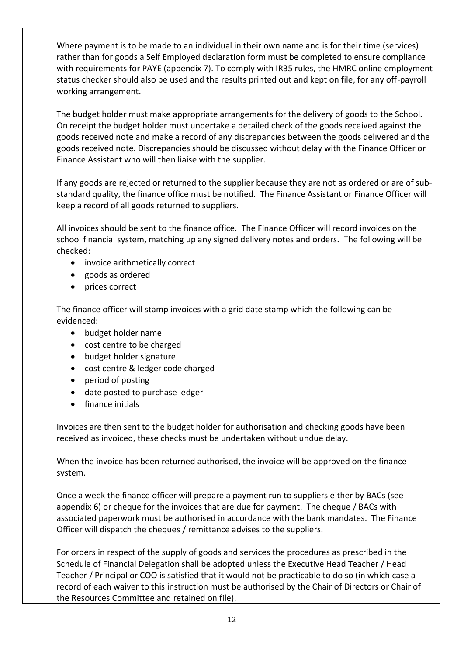Where payment is to be made to an individual in their own name and is for their time (services) rather than for goods a Self Employed declaration form must be completed to ensure compliance with requirements for PAYE (appendix 7). To comply with IR35 rules, the HMRC online employment status checker should also be used and the results printed out and kept on file, for any off-payroll working arrangement.

The budget holder must make appropriate arrangements for the delivery of goods to the School. On receipt the budget holder must undertake a detailed check of the goods received against the goods received note and make a record of any discrepancies between the goods delivered and the goods received note. Discrepancies should be discussed without delay with the Finance Officer or Finance Assistant who will then liaise with the supplier.

If any goods are rejected or returned to the supplier because they are not as ordered or are of substandard quality, the finance office must be notified. The Finance Assistant or Finance Officer will keep a record of all goods returned to suppliers.

All invoices should be sent to the finance office. The Finance Officer will record invoices on the school financial system, matching up any signed delivery notes and orders. The following will be checked:

- invoice arithmetically correct
- goods as ordered
- prices correct

The finance officer will stamp invoices with a grid date stamp which the following can be evidenced:

- budget holder name
- cost centre to be charged
- budget holder signature
- cost centre & ledger code charged
- period of posting
- date posted to purchase ledger
- finance initials

Invoices are then sent to the budget holder for authorisation and checking goods have been received as invoiced, these checks must be undertaken without undue delay.

When the invoice has been returned authorised, the invoice will be approved on the finance system.

Once a week the finance officer will prepare a payment run to suppliers either by BACs (see appendix 6) or cheque for the invoices that are due for payment. The cheque / BACs with associated paperwork must be authorised in accordance with the bank mandates. The Finance Officer will dispatch the cheques / remittance advises to the suppliers.

For orders in respect of the supply of goods and services the procedures as prescribed in the Schedule of Financial Delegation shall be adopted unless the Executive Head Teacher / Head Teacher / Principal or COO is satisfied that it would not be practicable to do so (in which case a record of each waiver to this instruction must be authorised by the Chair of Directors or Chair of the Resources Committee and retained on file).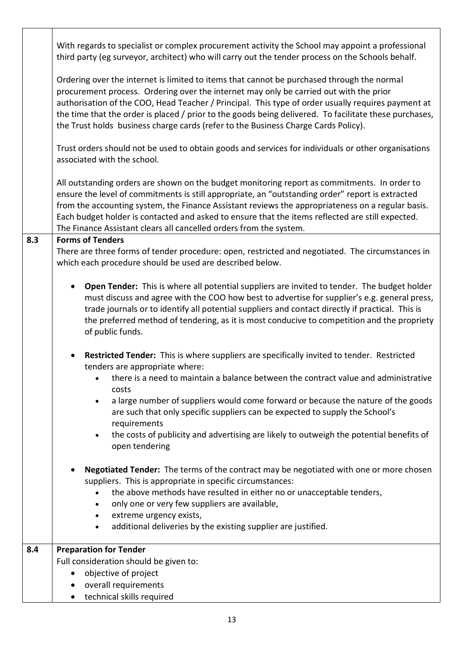|     | With regards to specialist or complex procurement activity the School may appoint a professional<br>third party (eg surveyor, architect) who will carry out the tender process on the Schools behalf.                                                                                                                                                                                                                                                                                      |
|-----|--------------------------------------------------------------------------------------------------------------------------------------------------------------------------------------------------------------------------------------------------------------------------------------------------------------------------------------------------------------------------------------------------------------------------------------------------------------------------------------------|
|     | Ordering over the internet is limited to items that cannot be purchased through the normal<br>procurement process. Ordering over the internet may only be carried out with the prior<br>authorisation of the COO, Head Teacher / Principal. This type of order usually requires payment at<br>the time that the order is placed / prior to the goods being delivered. To facilitate these purchases,<br>the Trust holds business charge cards (refer to the Business Charge Cards Policy). |
|     | Trust orders should not be used to obtain goods and services for individuals or other organisations<br>associated with the school.                                                                                                                                                                                                                                                                                                                                                         |
|     | All outstanding orders are shown on the budget monitoring report as commitments. In order to<br>ensure the level of commitments is still appropriate, an "outstanding order" report is extracted<br>from the accounting system, the Finance Assistant reviews the appropriateness on a regular basis.<br>Each budget holder is contacted and asked to ensure that the items reflected are still expected.<br>The Finance Assistant clears all cancelled orders from the system.            |
| 8.3 | <b>Forms of Tenders</b>                                                                                                                                                                                                                                                                                                                                                                                                                                                                    |
|     | There are three forms of tender procedure: open, restricted and negotiated. The circumstances in<br>which each procedure should be used are described below.                                                                                                                                                                                                                                                                                                                               |
|     | Open Tender: This is where all potential suppliers are invited to tender. The budget holder<br>must discuss and agree with the COO how best to advertise for supplier's e.g. general press,<br>trade journals or to identify all potential suppliers and contact directly if practical. This is<br>the preferred method of tendering, as it is most conducive to competition and the propriety<br>of public funds.                                                                         |
|     | Restricted Tender: This is where suppliers are specifically invited to tender. Restricted<br>tenders are appropriate where:<br>there is a need to maintain a balance between the contract value and administrative                                                                                                                                                                                                                                                                         |
|     | costs<br>a large number of suppliers would come forward or because the nature of the goods<br>are such that only specific suppliers can be expected to supply the School's<br>requirements                                                                                                                                                                                                                                                                                                 |
|     | the costs of publicity and advertising are likely to outweigh the potential benefits of<br>$\bullet$<br>open tendering                                                                                                                                                                                                                                                                                                                                                                     |
|     | Negotiated Tender: The terms of the contract may be negotiated with one or more chosen<br>suppliers. This is appropriate in specific circumstances:<br>the above methods have resulted in either no or unacceptable tenders,<br>only one or very few suppliers are available,<br>$\bullet$<br>extreme urgency exists,<br>additional deliveries by the existing supplier are justified.                                                                                                     |
|     |                                                                                                                                                                                                                                                                                                                                                                                                                                                                                            |
| 8.4 | <b>Preparation for Tender</b>                                                                                                                                                                                                                                                                                                                                                                                                                                                              |
|     | Full consideration should be given to:                                                                                                                                                                                                                                                                                                                                                                                                                                                     |
|     | objective of project                                                                                                                                                                                                                                                                                                                                                                                                                                                                       |
|     | overall requirements                                                                                                                                                                                                                                                                                                                                                                                                                                                                       |
|     | technical skills required                                                                                                                                                                                                                                                                                                                                                                                                                                                                  |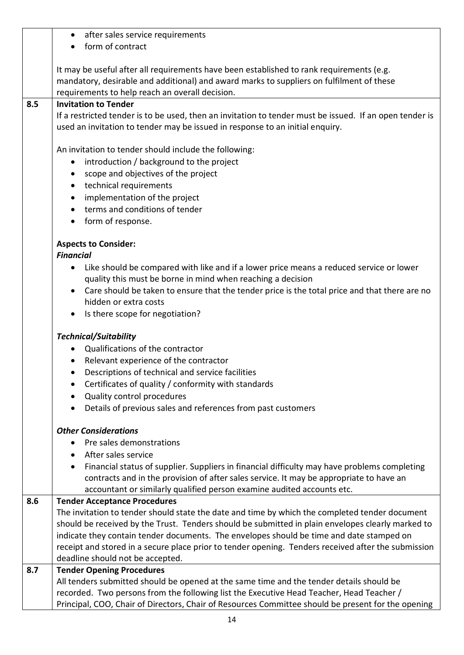|     | after sales service requirements                                                                          |
|-----|-----------------------------------------------------------------------------------------------------------|
|     | form of contract                                                                                          |
|     |                                                                                                           |
|     | It may be useful after all requirements have been established to rank requirements (e.g.                  |
|     | mandatory, desirable and additional) and award marks to suppliers on fulfilment of these                  |
|     | requirements to help reach an overall decision.                                                           |
| 8.5 | <b>Invitation to Tender</b>                                                                               |
|     | If a restricted tender is to be used, then an invitation to tender must be issued. If an open tender is   |
|     | used an invitation to tender may be issued in response to an initial enquiry.                             |
|     |                                                                                                           |
|     | An invitation to tender should include the following:                                                     |
|     | introduction / background to the project<br>$\bullet$                                                     |
|     | scope and objectives of the project                                                                       |
|     | technical requirements<br>$\bullet$                                                                       |
|     | implementation of the project                                                                             |
|     | terms and conditions of tender                                                                            |
|     | form of response.                                                                                         |
|     |                                                                                                           |
|     | <b>Aspects to Consider:</b>                                                                               |
|     | <b>Financial</b>                                                                                          |
|     | Like should be compared with like and if a lower price means a reduced service or lower<br>$\bullet$      |
|     | quality this must be borne in mind when reaching a decision                                               |
|     | Care should be taken to ensure that the tender price is the total price and that there are no             |
|     | hidden or extra costs                                                                                     |
|     | Is there scope for negotiation?                                                                           |
|     |                                                                                                           |
|     | <b>Technical/Suitability</b>                                                                              |
|     | Qualifications of the contractor<br>$\bullet$                                                             |
|     | Relevant experience of the contractor                                                                     |
|     | Descriptions of technical and service facilities<br>$\bullet$                                             |
|     | Certificates of quality / conformity with standards                                                       |
|     | Quality control procedures                                                                                |
|     | Details of previous sales and references from past customers                                              |
|     | <b>Other Considerations</b>                                                                               |
|     | Pre sales demonstrations                                                                                  |
|     | After sales service                                                                                       |
|     | Financial status of supplier. Suppliers in financial difficulty may have problems completing<br>$\bullet$ |
|     | contracts and in the provision of after sales service. It may be appropriate to have an                   |
|     | accountant or similarly qualified person examine audited accounts etc.                                    |
| 8.6 | <b>Tender Acceptance Procedures</b>                                                                       |
|     | The invitation to tender should state the date and time by which the completed tender document            |
|     | should be received by the Trust. Tenders should be submitted in plain envelopes clearly marked to         |
|     | indicate they contain tender documents. The envelopes should be time and date stamped on                  |
|     | receipt and stored in a secure place prior to tender opening. Tenders received after the submission       |
|     | deadline should not be accepted.                                                                          |
| 8.7 | <b>Tender Opening Procedures</b>                                                                          |
|     | All tenders submitted should be opened at the same time and the tender details should be                  |
|     | recorded. Two persons from the following list the Executive Head Teacher, Head Teacher /                  |
|     | Principal, COO, Chair of Directors, Chair of Resources Committee should be present for the opening        |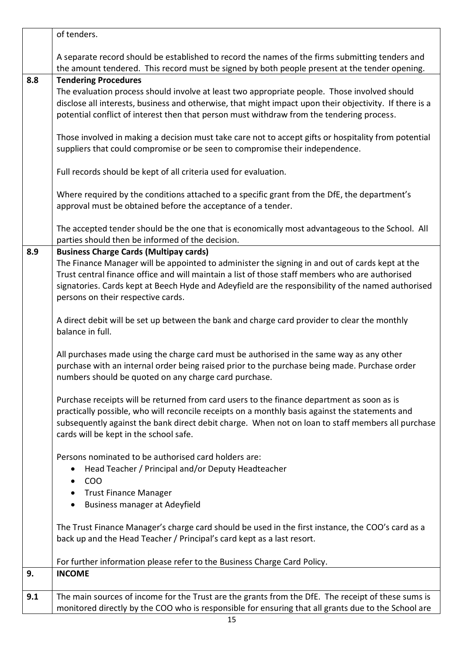|     | of tenders.                                                                                                                                                                                                                                                                                                                                                                                     |
|-----|-------------------------------------------------------------------------------------------------------------------------------------------------------------------------------------------------------------------------------------------------------------------------------------------------------------------------------------------------------------------------------------------------|
|     | A separate record should be established to record the names of the firms submitting tenders and                                                                                                                                                                                                                                                                                                 |
|     | the amount tendered. This record must be signed by both people present at the tender opening.                                                                                                                                                                                                                                                                                                   |
| 8.8 | <b>Tendering Procedures</b>                                                                                                                                                                                                                                                                                                                                                                     |
|     | The evaluation process should involve at least two appropriate people. Those involved should<br>disclose all interests, business and otherwise, that might impact upon their objectivity. If there is a<br>potential conflict of interest then that person must withdraw from the tendering process.                                                                                            |
|     | Those involved in making a decision must take care not to accept gifts or hospitality from potential<br>suppliers that could compromise or be seen to compromise their independence.                                                                                                                                                                                                            |
|     | Full records should be kept of all criteria used for evaluation.                                                                                                                                                                                                                                                                                                                                |
|     | Where required by the conditions attached to a specific grant from the DfE, the department's<br>approval must be obtained before the acceptance of a tender.                                                                                                                                                                                                                                    |
|     | The accepted tender should be the one that is economically most advantageous to the School. All<br>parties should then be informed of the decision.                                                                                                                                                                                                                                             |
| 8.9 | <b>Business Charge Cards (Multipay cards)</b><br>The Finance Manager will be appointed to administer the signing in and out of cards kept at the<br>Trust central finance office and will maintain a list of those staff members who are authorised<br>signatories. Cards kept at Beech Hyde and Adeyfield are the responsibility of the named authorised<br>persons on their respective cards. |
|     | A direct debit will be set up between the bank and charge card provider to clear the monthly<br>balance in full.                                                                                                                                                                                                                                                                                |
|     | All purchases made using the charge card must be authorised in the same way as any other<br>purchase with an internal order being raised prior to the purchase being made. Purchase order<br>numbers should be quoted on any charge card purchase.                                                                                                                                              |
|     | Purchase receipts will be returned from card users to the finance department as soon as is<br>practically possible, who will reconcile receipts on a monthly basis against the statements and<br>subsequently against the bank direct debit charge. When not on loan to staff members all purchase<br>cards will be kept in the school safe.                                                    |
|     | Persons nominated to be authorised card holders are:<br>Head Teacher / Principal and/or Deputy Headteacher<br><b>COO</b><br><b>Trust Finance Manager</b>                                                                                                                                                                                                                                        |
|     | <b>Business manager at Adeyfield</b>                                                                                                                                                                                                                                                                                                                                                            |
|     | The Trust Finance Manager's charge card should be used in the first instance, the COO's card as a<br>back up and the Head Teacher / Principal's card kept as a last resort.                                                                                                                                                                                                                     |
|     | For further information please refer to the Business Charge Card Policy.                                                                                                                                                                                                                                                                                                                        |
| 9.  | <b>INCOME</b>                                                                                                                                                                                                                                                                                                                                                                                   |
| 9.1 | The main sources of income for the Trust are the grants from the DfE. The receipt of these sums is<br>monitored directly by the COO who is responsible for ensuring that all grants due to the School are                                                                                                                                                                                       |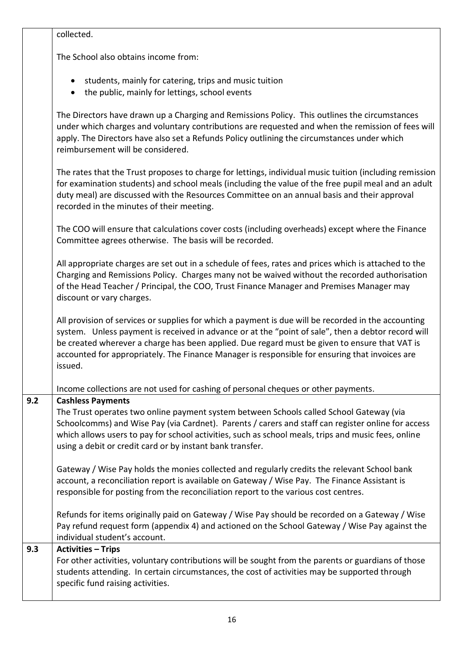|     | collected.                                                                                                                                                                                                                                                                                                                                                                                                              |
|-----|-------------------------------------------------------------------------------------------------------------------------------------------------------------------------------------------------------------------------------------------------------------------------------------------------------------------------------------------------------------------------------------------------------------------------|
|     | The School also obtains income from:                                                                                                                                                                                                                                                                                                                                                                                    |
|     | students, mainly for catering, trips and music tuition<br>the public, mainly for lettings, school events                                                                                                                                                                                                                                                                                                                |
|     | The Directors have drawn up a Charging and Remissions Policy. This outlines the circumstances<br>under which charges and voluntary contributions are requested and when the remission of fees will<br>apply. The Directors have also set a Refunds Policy outlining the circumstances under which<br>reimbursement will be considered.                                                                                  |
|     | The rates that the Trust proposes to charge for lettings, individual music tuition (including remission<br>for examination students) and school meals (including the value of the free pupil meal and an adult<br>duty meal) are discussed with the Resources Committee on an annual basis and their approval<br>recorded in the minutes of their meeting.                                                              |
|     | The COO will ensure that calculations cover costs (including overheads) except where the Finance<br>Committee agrees otherwise. The basis will be recorded.                                                                                                                                                                                                                                                             |
|     | All appropriate charges are set out in a schedule of fees, rates and prices which is attached to the<br>Charging and Remissions Policy. Charges many not be waived without the recorded authorisation<br>of the Head Teacher / Principal, the COO, Trust Finance Manager and Premises Manager may<br>discount or vary charges.                                                                                          |
|     | All provision of services or supplies for which a payment is due will be recorded in the accounting<br>system. Unless payment is received in advance or at the "point of sale", then a debtor record will<br>be created wherever a charge has been applied. Due regard must be given to ensure that VAT is<br>accounted for appropriately. The Finance Manager is responsible for ensuring that invoices are<br>issued. |
|     | Income collections are not used for cashing of personal cheques or other payments.                                                                                                                                                                                                                                                                                                                                      |
| 9.2 | <b>Cashless Payments</b><br>The Trust operates two online payment system between Schools called School Gateway (via<br>Schoolcomms) and Wise Pay (via Cardnet). Parents / carers and staff can register online for access<br>which allows users to pay for school activities, such as school meals, trips and music fees, online<br>using a debit or credit card or by instant bank transfer.                           |
|     | Gateway / Wise Pay holds the monies collected and regularly credits the relevant School bank<br>account, a reconciliation report is available on Gateway / Wise Pay. The Finance Assistant is<br>responsible for posting from the reconciliation report to the various cost centres.                                                                                                                                    |
|     | Refunds for items originally paid on Gateway / Wise Pay should be recorded on a Gateway / Wise<br>Pay refund request form (appendix 4) and actioned on the School Gateway / Wise Pay against the<br>individual student's account.                                                                                                                                                                                       |
| 9.3 | <b>Activities - Trips</b><br>For other activities, voluntary contributions will be sought from the parents or guardians of those<br>students attending. In certain circumstances, the cost of activities may be supported through<br>specific fund raising activities.                                                                                                                                                  |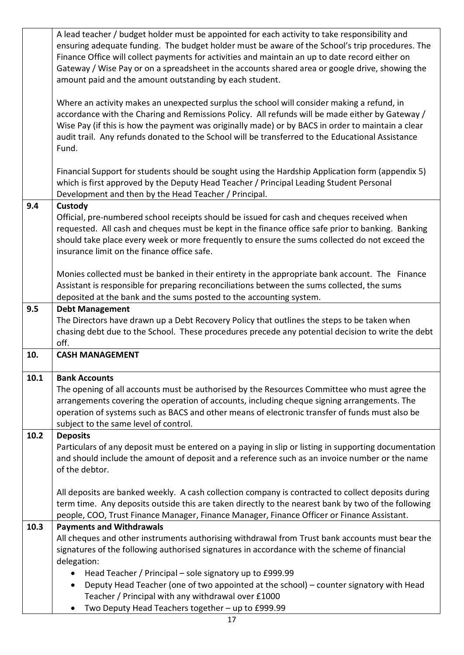|      | A lead teacher / budget holder must be appointed for each activity to take responsibility and<br>ensuring adequate funding. The budget holder must be aware of the School's trip procedures. The<br>Finance Office will collect payments for activities and maintain an up to date record either on<br>Gateway / Wise Pay or on a spreadsheet in the accounts shared area or google drive, showing the<br>amount paid and the amount outstanding by each student. |
|------|-------------------------------------------------------------------------------------------------------------------------------------------------------------------------------------------------------------------------------------------------------------------------------------------------------------------------------------------------------------------------------------------------------------------------------------------------------------------|
|      | Where an activity makes an unexpected surplus the school will consider making a refund, in<br>accordance with the Charing and Remissions Policy. All refunds will be made either by Gateway /<br>Wise Pay (if this is how the payment was originally made) or by BACS in order to maintain a clear<br>audit trail. Any refunds donated to the School will be transferred to the Educational Assistance<br>Fund.                                                   |
|      | Financial Support for students should be sought using the Hardship Application form (appendix 5)<br>which is first approved by the Deputy Head Teacher / Principal Leading Student Personal<br>Development and then by the Head Teacher / Principal.                                                                                                                                                                                                              |
| 9.4  | Custody<br>Official, pre-numbered school receipts should be issued for cash and cheques received when<br>requested. All cash and cheques must be kept in the finance office safe prior to banking. Banking<br>should take place every week or more frequently to ensure the sums collected do not exceed the<br>insurance limit on the finance office safe.                                                                                                       |
|      | Monies collected must be banked in their entirety in the appropriate bank account. The Finance<br>Assistant is responsible for preparing reconciliations between the sums collected, the sums<br>deposited at the bank and the sums posted to the accounting system.                                                                                                                                                                                              |
| 9.5  | <b>Debt Management</b><br>The Directors have drawn up a Debt Recovery Policy that outlines the steps to be taken when<br>chasing debt due to the School. These procedures precede any potential decision to write the debt<br>off.                                                                                                                                                                                                                                |
| 10.  | <b>CASH MANAGEMENT</b>                                                                                                                                                                                                                                                                                                                                                                                                                                            |
| 10.1 | <b>Bank Accounts</b><br>The opening of all accounts must be authorised by the Resources Committee who must agree the<br>arrangements covering the operation of accounts, including cheque signing arrangements. The<br>operation of systems such as BACS and other means of electronic transfer of funds must also be<br>subject to the same level of control.                                                                                                    |
| 10.2 | <b>Deposits</b><br>Particulars of any deposit must be entered on a paying in slip or listing in supporting documentation<br>and should include the amount of deposit and a reference such as an invoice number or the name<br>of the debtor.                                                                                                                                                                                                                      |
|      | All deposits are banked weekly. A cash collection company is contracted to collect deposits during<br>term time. Any deposits outside this are taken directly to the nearest bank by two of the following<br>people, COO, Trust Finance Manager, Finance Manager, Finance Officer or Finance Assistant.                                                                                                                                                           |
| 10.3 | <b>Payments and Withdrawals</b><br>All cheques and other instruments authorising withdrawal from Trust bank accounts must bear the<br>signatures of the following authorised signatures in accordance with the scheme of financial<br>delegation:                                                                                                                                                                                                                 |
|      | Head Teacher / Principal – sole signatory up to £999.99<br>Deputy Head Teacher (one of two appointed at the school) - counter signatory with Head<br>Teacher / Principal with any withdrawal over £1000<br>Two Deputy Head Teachers together - up to £999.99                                                                                                                                                                                                      |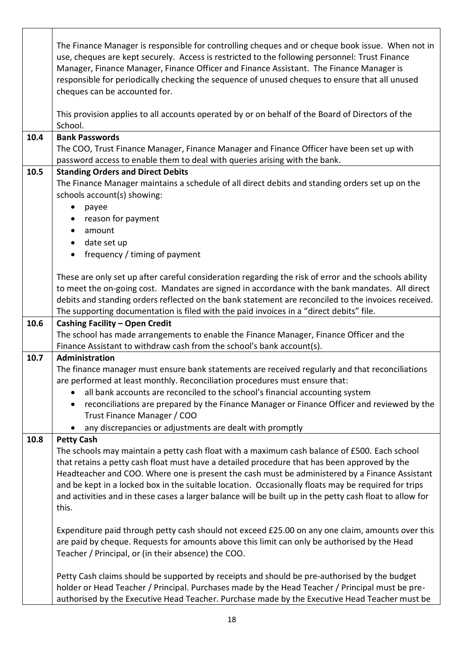|      | The Finance Manager is responsible for controlling cheques and or cheque book issue. When not in<br>use, cheques are kept securely. Access is restricted to the following personnel: Trust Finance<br>Manager, Finance Manager, Finance Officer and Finance Assistant. The Finance Manager is<br>responsible for periodically checking the sequence of unused cheques to ensure that all unused<br>cheques can be accounted for. |
|------|----------------------------------------------------------------------------------------------------------------------------------------------------------------------------------------------------------------------------------------------------------------------------------------------------------------------------------------------------------------------------------------------------------------------------------|
|      | This provision applies to all accounts operated by or on behalf of the Board of Directors of the<br>School.                                                                                                                                                                                                                                                                                                                      |
| 10.4 | <b>Bank Passwords</b>                                                                                                                                                                                                                                                                                                                                                                                                            |
|      | The COO, Trust Finance Manager, Finance Manager and Finance Officer have been set up with                                                                                                                                                                                                                                                                                                                                        |
|      | password access to enable them to deal with queries arising with the bank.                                                                                                                                                                                                                                                                                                                                                       |
| 10.5 | <b>Standing Orders and Direct Debits</b>                                                                                                                                                                                                                                                                                                                                                                                         |
|      | The Finance Manager maintains a schedule of all direct debits and standing orders set up on the<br>schools account(s) showing:                                                                                                                                                                                                                                                                                                   |
|      | payee                                                                                                                                                                                                                                                                                                                                                                                                                            |
|      | reason for payment<br>$\bullet$                                                                                                                                                                                                                                                                                                                                                                                                  |
|      | amount                                                                                                                                                                                                                                                                                                                                                                                                                           |
|      | date set up<br>$\bullet$                                                                                                                                                                                                                                                                                                                                                                                                         |
|      | frequency / timing of payment<br>$\bullet$                                                                                                                                                                                                                                                                                                                                                                                       |
|      |                                                                                                                                                                                                                                                                                                                                                                                                                                  |
|      | These are only set up after careful consideration regarding the risk of error and the schools ability                                                                                                                                                                                                                                                                                                                            |
|      | to meet the on-going cost. Mandates are signed in accordance with the bank mandates. All direct                                                                                                                                                                                                                                                                                                                                  |
|      | debits and standing orders reflected on the bank statement are reconciled to the invoices received.                                                                                                                                                                                                                                                                                                                              |
|      | The supporting documentation is filed with the paid invoices in a "direct debits" file.                                                                                                                                                                                                                                                                                                                                          |
| 10.6 | <b>Cashing Facility - Open Credit</b>                                                                                                                                                                                                                                                                                                                                                                                            |
|      | The school has made arrangements to enable the Finance Manager, Finance Officer and the<br>Finance Assistant to withdraw cash from the school's bank account(s).                                                                                                                                                                                                                                                                 |
| 10.7 | Administration                                                                                                                                                                                                                                                                                                                                                                                                                   |
|      | The finance manager must ensure bank statements are received regularly and that reconciliations                                                                                                                                                                                                                                                                                                                                  |
|      | are performed at least monthly. Reconciliation procedures must ensure that:                                                                                                                                                                                                                                                                                                                                                      |
|      | all bank accounts are reconciled to the school's financial accounting system                                                                                                                                                                                                                                                                                                                                                     |
|      |                                                                                                                                                                                                                                                                                                                                                                                                                                  |
|      | reconciliations are prepared by the Finance Manager or Finance Officer and reviewed by the<br>$\bullet$                                                                                                                                                                                                                                                                                                                          |
|      | Trust Finance Manager / COO                                                                                                                                                                                                                                                                                                                                                                                                      |
|      | any discrepancies or adjustments are dealt with promptly                                                                                                                                                                                                                                                                                                                                                                         |
| 10.8 | <b>Petty Cash</b>                                                                                                                                                                                                                                                                                                                                                                                                                |
|      | The schools may maintain a petty cash float with a maximum cash balance of £500. Each school                                                                                                                                                                                                                                                                                                                                     |
|      | that retains a petty cash float must have a detailed procedure that has been approved by the                                                                                                                                                                                                                                                                                                                                     |
|      | Headteacher and COO. Where one is present the cash must be administered by a Finance Assistant                                                                                                                                                                                                                                                                                                                                   |
|      | and be kept in a locked box in the suitable location. Occasionally floats may be required for trips                                                                                                                                                                                                                                                                                                                              |
|      | and activities and in these cases a larger balance will be built up in the petty cash float to allow for<br>this.                                                                                                                                                                                                                                                                                                                |
|      |                                                                                                                                                                                                                                                                                                                                                                                                                                  |
|      | Expenditure paid through petty cash should not exceed £25.00 on any one claim, amounts over this                                                                                                                                                                                                                                                                                                                                 |
|      | are paid by cheque. Requests for amounts above this limit can only be authorised by the Head                                                                                                                                                                                                                                                                                                                                     |
|      | Teacher / Principal, or (in their absence) the COO.                                                                                                                                                                                                                                                                                                                                                                              |
|      |                                                                                                                                                                                                                                                                                                                                                                                                                                  |
|      | Petty Cash claims should be supported by receipts and should be pre-authorised by the budget<br>holder or Head Teacher / Principal. Purchases made by the Head Teacher / Principal must be pre-                                                                                                                                                                                                                                  |

 $\overline{\phantom{0}}$ 

Г

Т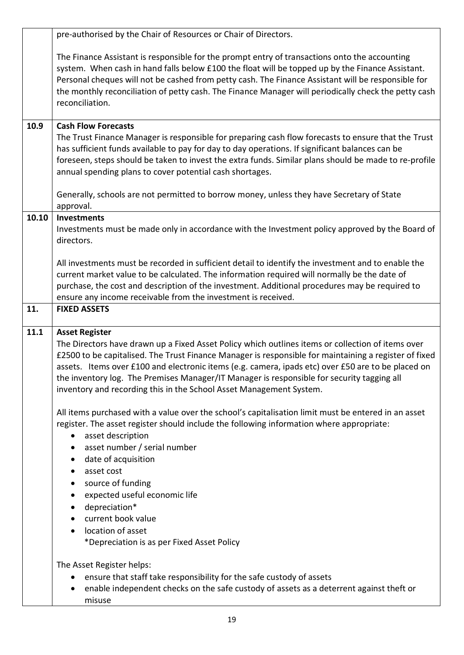|       | pre-authorised by the Chair of Resources or Chair of Directors.                                                                                                                                                                                                                                                                                                                                                                                                                                                |
|-------|----------------------------------------------------------------------------------------------------------------------------------------------------------------------------------------------------------------------------------------------------------------------------------------------------------------------------------------------------------------------------------------------------------------------------------------------------------------------------------------------------------------|
|       | The Finance Assistant is responsible for the prompt entry of transactions onto the accounting<br>system. When cash in hand falls below £100 the float will be topped up by the Finance Assistant.<br>Personal cheques will not be cashed from petty cash. The Finance Assistant will be responsible for<br>the monthly reconciliation of petty cash. The Finance Manager will periodically check the petty cash<br>reconciliation.                                                                             |
| 10.9  | <b>Cash Flow Forecasts</b>                                                                                                                                                                                                                                                                                                                                                                                                                                                                                     |
|       | The Trust Finance Manager is responsible for preparing cash flow forecasts to ensure that the Trust<br>has sufficient funds available to pay for day to day operations. If significant balances can be<br>foreseen, steps should be taken to invest the extra funds. Similar plans should be made to re-profile<br>annual spending plans to cover potential cash shortages.                                                                                                                                    |
|       | Generally, schools are not permitted to borrow money, unless they have Secretary of State<br>approval.                                                                                                                                                                                                                                                                                                                                                                                                         |
| 10.10 | <b>Investments</b>                                                                                                                                                                                                                                                                                                                                                                                                                                                                                             |
|       | Investments must be made only in accordance with the Investment policy approved by the Board of<br>directors.                                                                                                                                                                                                                                                                                                                                                                                                  |
|       | All investments must be recorded in sufficient detail to identify the investment and to enable the                                                                                                                                                                                                                                                                                                                                                                                                             |
|       | current market value to be calculated. The information required will normally be the date of                                                                                                                                                                                                                                                                                                                                                                                                                   |
|       | purchase, the cost and description of the investment. Additional procedures may be required to                                                                                                                                                                                                                                                                                                                                                                                                                 |
| 11.   | ensure any income receivable from the investment is received.<br><b>FIXED ASSETS</b>                                                                                                                                                                                                                                                                                                                                                                                                                           |
|       |                                                                                                                                                                                                                                                                                                                                                                                                                                                                                                                |
| 11.1  | <b>Asset Register</b><br>The Directors have drawn up a Fixed Asset Policy which outlines items or collection of items over<br>£2500 to be capitalised. The Trust Finance Manager is responsible for maintaining a register of fixed<br>assets. Items over £100 and electronic items (e.g. camera, ipads etc) over £50 are to be placed on<br>the inventory log. The Premises Manager/IT Manager is responsible for security tagging all<br>inventory and recording this in the School Asset Management System. |
|       | All items purchased with a value over the school's capitalisation limit must be entered in an asset<br>register. The asset register should include the following information where appropriate:<br>asset description<br>$\bullet$                                                                                                                                                                                                                                                                              |
|       | asset number / serial number                                                                                                                                                                                                                                                                                                                                                                                                                                                                                   |
|       | date of acquisition<br>$\bullet$                                                                                                                                                                                                                                                                                                                                                                                                                                                                               |
|       | asset cost                                                                                                                                                                                                                                                                                                                                                                                                                                                                                                     |
|       | source of funding<br>$\bullet$                                                                                                                                                                                                                                                                                                                                                                                                                                                                                 |
|       | expected useful economic life<br>depreciation*                                                                                                                                                                                                                                                                                                                                                                                                                                                                 |
|       | current book value                                                                                                                                                                                                                                                                                                                                                                                                                                                                                             |
|       | location of asset                                                                                                                                                                                                                                                                                                                                                                                                                                                                                              |
|       | *Depreciation is as per Fixed Asset Policy                                                                                                                                                                                                                                                                                                                                                                                                                                                                     |
|       | The Asset Register helps:                                                                                                                                                                                                                                                                                                                                                                                                                                                                                      |
|       | ensure that staff take responsibility for the safe custody of assets                                                                                                                                                                                                                                                                                                                                                                                                                                           |
|       | enable independent checks on the safe custody of assets as a deterrent against theft or                                                                                                                                                                                                                                                                                                                                                                                                                        |
|       | misuse                                                                                                                                                                                                                                                                                                                                                                                                                                                                                                         |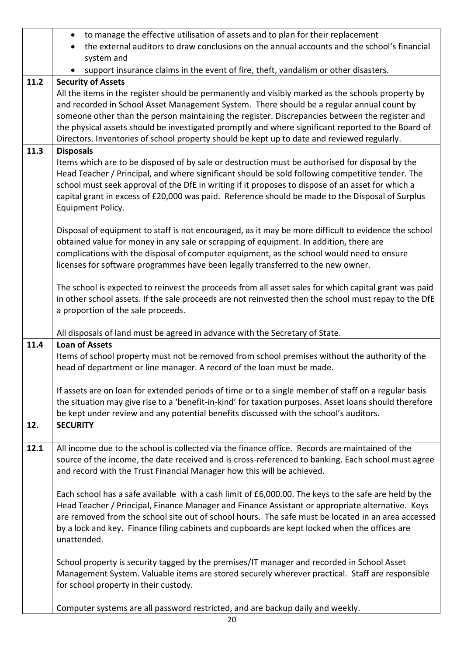|      | to manage the effective utilisation of assets and to plan for their replacement<br>$\bullet$<br>the external auditors to draw conclusions on the annual accounts and the school's financial<br>$\bullet$                                                                                                                                                                                                                                                                                                                           |
|------|------------------------------------------------------------------------------------------------------------------------------------------------------------------------------------------------------------------------------------------------------------------------------------------------------------------------------------------------------------------------------------------------------------------------------------------------------------------------------------------------------------------------------------|
|      | system and                                                                                                                                                                                                                                                                                                                                                                                                                                                                                                                         |
|      | support insurance claims in the event of fire, theft, vandalism or other disasters.<br>$\bullet$                                                                                                                                                                                                                                                                                                                                                                                                                                   |
| 11.2 | <b>Security of Assets</b><br>All the items in the register should be permanently and visibly marked as the schools property by<br>and recorded in School Asset Management System. There should be a regular annual count by<br>someone other than the person maintaining the register. Discrepancies between the register and<br>the physical assets should be investigated promptly and where significant reported to the Board of<br>Directors. Inventories of school property should be kept up to date and reviewed regularly. |
| 11.3 | <b>Disposals</b>                                                                                                                                                                                                                                                                                                                                                                                                                                                                                                                   |
|      | Items which are to be disposed of by sale or destruction must be authorised for disposal by the<br>Head Teacher / Principal, and where significant should be sold following competitive tender. The<br>school must seek approval of the DfE in writing if it proposes to dispose of an asset for which a<br>capital grant in excess of £20,000 was paid. Reference should be made to the Disposal of Surplus<br>Equipment Policy.                                                                                                  |
|      | Disposal of equipment to staff is not encouraged, as it may be more difficult to evidence the school<br>obtained value for money in any sale or scrapping of equipment. In addition, there are<br>complications with the disposal of computer equipment, as the school would need to ensure<br>licenses for software programmes have been legally transferred to the new owner.                                                                                                                                                    |
|      | The school is expected to reinvest the proceeds from all asset sales for which capital grant was paid<br>in other school assets. If the sale proceeds are not reinvested then the school must repay to the DfE<br>a proportion of the sale proceeds.                                                                                                                                                                                                                                                                               |
|      | All disposals of land must be agreed in advance with the Secretary of State.                                                                                                                                                                                                                                                                                                                                                                                                                                                       |
| 11.4 | <b>Loan of Assets</b><br>Items of school property must not be removed from school premises without the authority of the<br>head of department or line manager. A record of the loan must be made.                                                                                                                                                                                                                                                                                                                                  |
|      | If assets are on loan for extended periods of time or to a single member of staff on a regular basis<br>the situation may give rise to a 'benefit-in-kind' for taxation purposes. Asset loans should therefore<br>be kept under review and any potential benefits discussed with the school's auditors.                                                                                                                                                                                                                            |
| 12.  | <b>SECURITY</b>                                                                                                                                                                                                                                                                                                                                                                                                                                                                                                                    |
| 12.1 | All income due to the school is collected via the finance office. Records are maintained of the<br>source of the income, the date received and is cross-referenced to banking. Each school must agree<br>and record with the Trust Financial Manager how this will be achieved.                                                                                                                                                                                                                                                    |
|      | Each school has a safe available with a cash limit of £6,000.00. The keys to the safe are held by the<br>Head Teacher / Principal, Finance Manager and Finance Assistant or appropriate alternative. Keys<br>are removed from the school site out of school hours. The safe must be located in an area accessed<br>by a lock and key. Finance filing cabinets and cupboards are kept locked when the offices are<br>unattended.                                                                                                    |
|      | School property is security tagged by the premises/IT manager and recorded in School Asset<br>Management System. Valuable items are stored securely wherever practical. Staff are responsible<br>for school property in their custody.                                                                                                                                                                                                                                                                                             |
|      | Computer systems are all password restricted, and are backup daily and weekly.                                                                                                                                                                                                                                                                                                                                                                                                                                                     |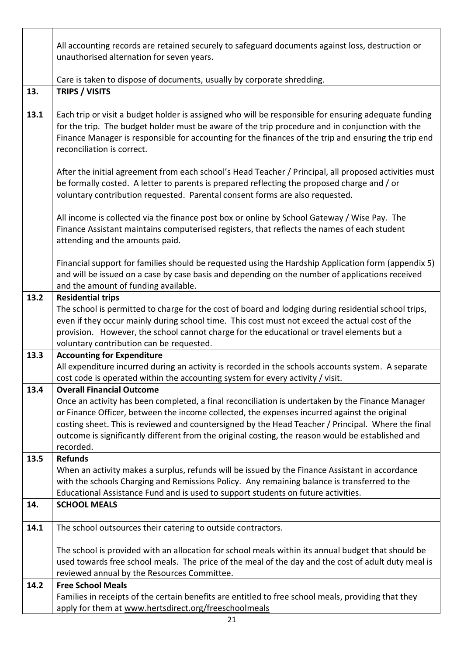|      | All accounting records are retained securely to safeguard documents against loss, destruction or                                                                                                                                                                                                                                                                                                                         |
|------|--------------------------------------------------------------------------------------------------------------------------------------------------------------------------------------------------------------------------------------------------------------------------------------------------------------------------------------------------------------------------------------------------------------------------|
|      | unauthorised alternation for seven years.                                                                                                                                                                                                                                                                                                                                                                                |
|      | Care is taken to dispose of documents, usually by corporate shredding.                                                                                                                                                                                                                                                                                                                                                   |
| 13.  | <b>TRIPS / VISITS</b>                                                                                                                                                                                                                                                                                                                                                                                                    |
| 13.1 | Each trip or visit a budget holder is assigned who will be responsible for ensuring adequate funding<br>for the trip. The budget holder must be aware of the trip procedure and in conjunction with the<br>Finance Manager is responsible for accounting for the finances of the trip and ensuring the trip end<br>reconciliation is correct.                                                                            |
|      | After the initial agreement from each school's Head Teacher / Principal, all proposed activities must<br>be formally costed. A letter to parents is prepared reflecting the proposed charge and / or<br>voluntary contribution requested. Parental consent forms are also requested.                                                                                                                                     |
|      | All income is collected via the finance post box or online by School Gateway / Wise Pay. The<br>Finance Assistant maintains computerised registers, that reflects the names of each student<br>attending and the amounts paid.                                                                                                                                                                                           |
|      | Financial support for families should be requested using the Hardship Application form (appendix 5)<br>and will be issued on a case by case basis and depending on the number of applications received<br>and the amount of funding available.                                                                                                                                                                           |
| 13.2 | <b>Residential trips</b>                                                                                                                                                                                                                                                                                                                                                                                                 |
|      | The school is permitted to charge for the cost of board and lodging during residential school trips,<br>even if they occur mainly during school time. This cost must not exceed the actual cost of the<br>provision. However, the school cannot charge for the educational or travel elements but a<br>voluntary contribution can be requested.                                                                          |
| 13.3 | <b>Accounting for Expenditure</b>                                                                                                                                                                                                                                                                                                                                                                                        |
|      | All expenditure incurred during an activity is recorded in the schools accounts system. A separate                                                                                                                                                                                                                                                                                                                       |
| 13.4 | cost code is operated within the accounting system for every activity / visit.<br><b>Overall Financial Outcome</b>                                                                                                                                                                                                                                                                                                       |
|      | Once an activity has been completed, a final reconciliation is undertaken by the Finance Manager<br>or Finance Officer, between the income collected, the expenses incurred against the original<br>costing sheet. This is reviewed and countersigned by the Head Teacher / Principal. Where the final<br>outcome is significantly different from the original costing, the reason would be established and<br>recorded. |
| 13.5 | <b>Refunds</b>                                                                                                                                                                                                                                                                                                                                                                                                           |
|      | When an activity makes a surplus, refunds will be issued by the Finance Assistant in accordance<br>with the schools Charging and Remissions Policy. Any remaining balance is transferred to the<br>Educational Assistance Fund and is used to support students on future activities.                                                                                                                                     |
| 14.  | <b>SCHOOL MEALS</b>                                                                                                                                                                                                                                                                                                                                                                                                      |
|      |                                                                                                                                                                                                                                                                                                                                                                                                                          |
| 14.1 | The school outsources their catering to outside contractors.                                                                                                                                                                                                                                                                                                                                                             |
|      | The school is provided with an allocation for school meals within its annual budget that should be<br>used towards free school meals. The price of the meal of the day and the cost of adult duty meal is<br>reviewed annual by the Resources Committee.                                                                                                                                                                 |
| 14.2 | <b>Free School Meals</b>                                                                                                                                                                                                                                                                                                                                                                                                 |
|      | Families in receipts of the certain benefits are entitled to free school meals, providing that they<br>apply for them at www.hertsdirect.org/freeschoolmeals                                                                                                                                                                                                                                                             |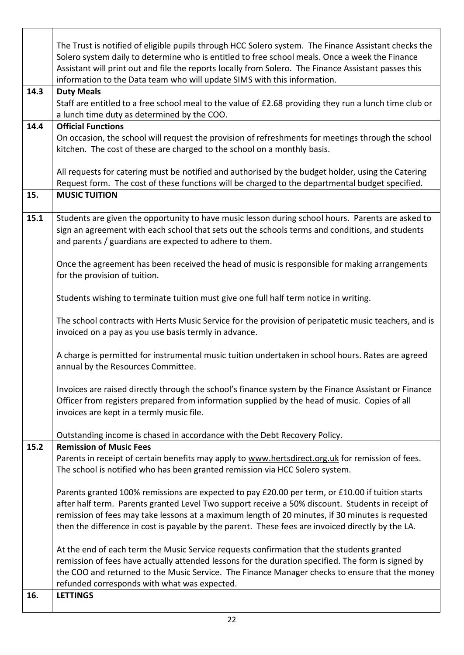|      | The Trust is notified of eligible pupils through HCC Solero system. The Finance Assistant checks the<br>Solero system daily to determine who is entitled to free school meals. Once a week the Finance<br>Assistant will print out and file the reports locally from Solero. The Finance Assistant passes this<br>information to the Data team who will update SIMS with this information. |
|------|--------------------------------------------------------------------------------------------------------------------------------------------------------------------------------------------------------------------------------------------------------------------------------------------------------------------------------------------------------------------------------------------|
| 14.3 | <b>Duty Meals</b><br>Staff are entitled to a free school meal to the value of £2.68 providing they run a lunch time club or<br>a lunch time duty as determined by the COO.                                                                                                                                                                                                                 |
| 14.4 | <b>Official Functions</b>                                                                                                                                                                                                                                                                                                                                                                  |
|      | On occasion, the school will request the provision of refreshments for meetings through the school<br>kitchen. The cost of these are charged to the school on a monthly basis.                                                                                                                                                                                                             |
|      | All requests for catering must be notified and authorised by the budget holder, using the Catering<br>Request form. The cost of these functions will be charged to the departmental budget specified.                                                                                                                                                                                      |
| 15.  | <b>MUSIC TUITION</b>                                                                                                                                                                                                                                                                                                                                                                       |
| 15.1 | Students are given the opportunity to have music lesson during school hours. Parents are asked to<br>sign an agreement with each school that sets out the schools terms and conditions, and students<br>and parents / guardians are expected to adhere to them.                                                                                                                            |
|      | Once the agreement has been received the head of music is responsible for making arrangements<br>for the provision of tuition.                                                                                                                                                                                                                                                             |
|      | Students wishing to terminate tuition must give one full half term notice in writing.                                                                                                                                                                                                                                                                                                      |
|      | The school contracts with Herts Music Service for the provision of peripatetic music teachers, and is<br>invoiced on a pay as you use basis termly in advance.                                                                                                                                                                                                                             |
|      | A charge is permitted for instrumental music tuition undertaken in school hours. Rates are agreed<br>annual by the Resources Committee.                                                                                                                                                                                                                                                    |
|      | Invoices are raised directly through the school's finance system by the Finance Assistant or Finance<br>Officer from registers prepared from information supplied by the head of music. Copies of all<br>invoices are kept in a termly music file.                                                                                                                                         |
|      | Outstanding income is chased in accordance with the Debt Recovery Policy.                                                                                                                                                                                                                                                                                                                  |
| 15.2 | <b>Remission of Music Fees</b>                                                                                                                                                                                                                                                                                                                                                             |
|      | Parents in receipt of certain benefits may apply to www.hertsdirect.org.uk for remission of fees.                                                                                                                                                                                                                                                                                          |
|      | The school is notified who has been granted remission via HCC Solero system.                                                                                                                                                                                                                                                                                                               |
|      | Parents granted 100% remissions are expected to pay £20.00 per term, or £10.00 if tuition starts                                                                                                                                                                                                                                                                                           |
|      | after half term. Parents granted Level Two support receive a 50% discount. Students in receipt of                                                                                                                                                                                                                                                                                          |
|      | remission of fees may take lessons at a maximum length of 20 minutes, if 30 minutes is requested                                                                                                                                                                                                                                                                                           |
|      | then the difference in cost is payable by the parent. These fees are invoiced directly by the LA.                                                                                                                                                                                                                                                                                          |
|      | At the end of each term the Music Service requests confirmation that the students granted                                                                                                                                                                                                                                                                                                  |
|      | remission of fees have actually attended lessons for the duration specified. The form is signed by                                                                                                                                                                                                                                                                                         |
|      | the COO and returned to the Music Service. The Finance Manager checks to ensure that the money                                                                                                                                                                                                                                                                                             |
|      | refunded corresponds with what was expected.                                                                                                                                                                                                                                                                                                                                               |
| 16.  | <b>LETTINGS</b>                                                                                                                                                                                                                                                                                                                                                                            |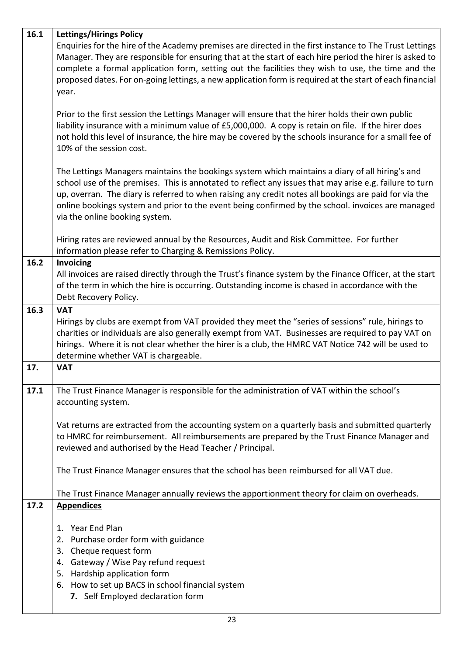| 16.1 | <b>Lettings/Hirings Policy</b>                                                                                                                                                                                                                                                                                                                                                                                                                             |
|------|------------------------------------------------------------------------------------------------------------------------------------------------------------------------------------------------------------------------------------------------------------------------------------------------------------------------------------------------------------------------------------------------------------------------------------------------------------|
|      | Enquiries for the hire of the Academy premises are directed in the first instance to The Trust Lettings<br>Manager. They are responsible for ensuring that at the start of each hire period the hirer is asked to<br>complete a formal application form, setting out the facilities they wish to use, the time and the                                                                                                                                     |
|      | proposed dates. For on-going lettings, a new application form is required at the start of each financial<br>year.                                                                                                                                                                                                                                                                                                                                          |
|      | Prior to the first session the Lettings Manager will ensure that the hirer holds their own public<br>liability insurance with a minimum value of £5,000,000. A copy is retain on file. If the hirer does<br>not hold this level of insurance, the hire may be covered by the schools insurance for a small fee of<br>10% of the session cost.                                                                                                              |
|      | The Lettings Managers maintains the bookings system which maintains a diary of all hiring's and<br>school use of the premises. This is annotated to reflect any issues that may arise e.g. failure to turn<br>up, overran. The diary is referred to when raising any credit notes all bookings are paid for via the<br>online bookings system and prior to the event being confirmed by the school. invoices are managed<br>via the online booking system. |
|      | Hiring rates are reviewed annual by the Resources, Audit and Risk Committee. For further<br>information please refer to Charging & Remissions Policy.                                                                                                                                                                                                                                                                                                      |
| 16.2 | Invoicing                                                                                                                                                                                                                                                                                                                                                                                                                                                  |
|      | All invoices are raised directly through the Trust's finance system by the Finance Officer, at the start<br>of the term in which the hire is occurring. Outstanding income is chased in accordance with the<br>Debt Recovery Policy.                                                                                                                                                                                                                       |
| 16.3 | <b>VAT</b>                                                                                                                                                                                                                                                                                                                                                                                                                                                 |
|      | Hirings by clubs are exempt from VAT provided they meet the "series of sessions" rule, hirings to<br>charities or individuals are also generally exempt from VAT. Businesses are required to pay VAT on<br>hirings. Where it is not clear whether the hirer is a club, the HMRC VAT Notice 742 will be used to<br>determine whether VAT is chargeable.                                                                                                     |
| 17.  | <b>VAT</b>                                                                                                                                                                                                                                                                                                                                                                                                                                                 |
| 17.1 | The Trust Finance Manager is responsible for the administration of VAT within the school's<br>accounting system.                                                                                                                                                                                                                                                                                                                                           |
|      | Vat returns are extracted from the accounting system on a quarterly basis and submitted quarterly<br>to HMRC for reimbursement. All reimbursements are prepared by the Trust Finance Manager and<br>reviewed and authorised by the Head Teacher / Principal.                                                                                                                                                                                               |
|      | The Trust Finance Manager ensures that the school has been reimbursed for all VAT due.                                                                                                                                                                                                                                                                                                                                                                     |
|      | The Trust Finance Manager annually reviews the apportionment theory for claim on overheads.                                                                                                                                                                                                                                                                                                                                                                |
| 17.2 | <b>Appendices</b>                                                                                                                                                                                                                                                                                                                                                                                                                                          |
|      | 1. Year End Plan                                                                                                                                                                                                                                                                                                                                                                                                                                           |
|      | 2. Purchase order form with guidance                                                                                                                                                                                                                                                                                                                                                                                                                       |
|      | Cheque request form<br>3.                                                                                                                                                                                                                                                                                                                                                                                                                                  |
|      | 4. Gateway / Wise Pay refund request<br>5. Hardship application form                                                                                                                                                                                                                                                                                                                                                                                       |
|      | 6. How to set up BACS in school financial system                                                                                                                                                                                                                                                                                                                                                                                                           |
|      | 7. Self Employed declaration form                                                                                                                                                                                                                                                                                                                                                                                                                          |